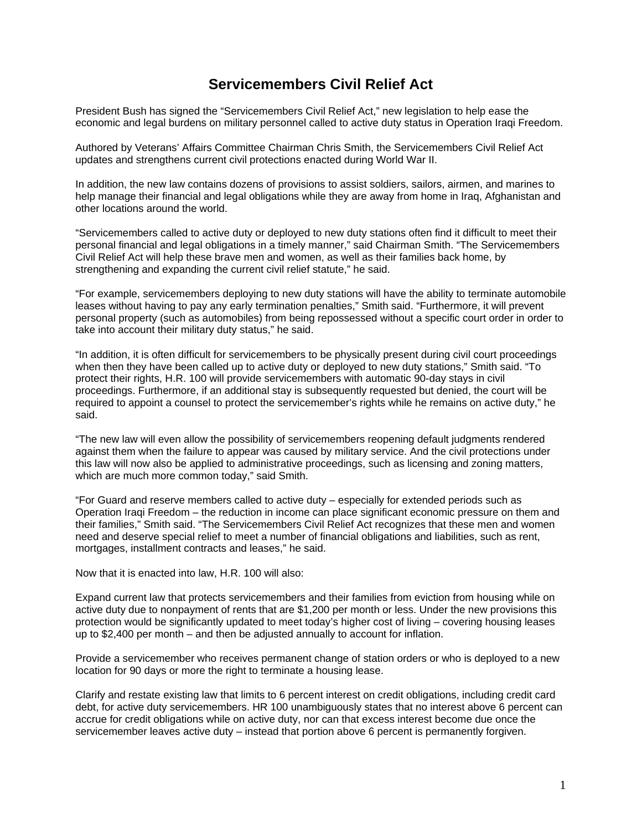# **Servicemembers Civil Relief Act**

President Bush has signed the "Servicemembers Civil Relief Act," new legislation to help ease the economic and legal burdens on military personnel called to active duty status in Operation Iraqi Freedom.

Authored by Veterans' Affairs Committee Chairman Chris Smith, the Servicemembers Civil Relief Act updates and strengthens current civil protections enacted during World War II.

In addition, the new law contains dozens of provisions to assist soldiers, sailors, airmen, and marines to help manage their financial and legal obligations while they are away from home in Iraq, Afghanistan and other locations around the world.

"Servicemembers called to active duty or deployed to new duty stations often find it difficult to meet their personal financial and legal obligations in a timely manner," said Chairman Smith. "The Servicemembers Civil Relief Act will help these brave men and women, as well as their families back home, by strengthening and expanding the current civil relief statute," he said.

"For example, servicemembers deploying to new duty stations will have the ability to terminate automobile leases without having to pay any early termination penalties," Smith said. "Furthermore, it will prevent personal property (such as automobiles) from being repossessed without a specific court order in order to take into account their military duty status," he said.

"In addition, it is often difficult for servicemembers to be physically present during civil court proceedings when then they have been called up to active duty or deployed to new duty stations," Smith said. "To protect their rights, H.R. 100 will provide servicemembers with automatic 90-day stays in civil proceedings. Furthermore, if an additional stay is subsequently requested but denied, the court will be required to appoint a counsel to protect the servicemember's rights while he remains on active duty," he said.

"The new law will even allow the possibility of servicemembers reopening default judgments rendered against them when the failure to appear was caused by military service. And the civil protections under this law will now also be applied to administrative proceedings, such as licensing and zoning matters, which are much more common today," said Smith.

"For Guard and reserve members called to active duty – especially for extended periods such as Operation Iraqi Freedom – the reduction in income can place significant economic pressure on them and their families," Smith said. "The Servicemembers Civil Relief Act recognizes that these men and women need and deserve special relief to meet a number of financial obligations and liabilities, such as rent, mortgages, installment contracts and leases," he said.

Now that it is enacted into law, H.R. 100 will also:

Expand current law that protects servicemembers and their families from eviction from housing while on active duty due to nonpayment of rents that are \$1,200 per month or less. Under the new provisions this protection would be significantly updated to meet today's higher cost of living – covering housing leases up to \$2,400 per month – and then be adjusted annually to account for inflation.

Provide a servicemember who receives permanent change of station orders or who is deployed to a new location for 90 days or more the right to terminate a housing lease.

Clarify and restate existing law that limits to 6 percent interest on credit obligations, including credit card debt, for active duty servicemembers. HR 100 unambiguously states that no interest above 6 percent can accrue for credit obligations while on active duty, nor can that excess interest become due once the servicemember leaves active duty – instead that portion above 6 percent is permanently forgiven.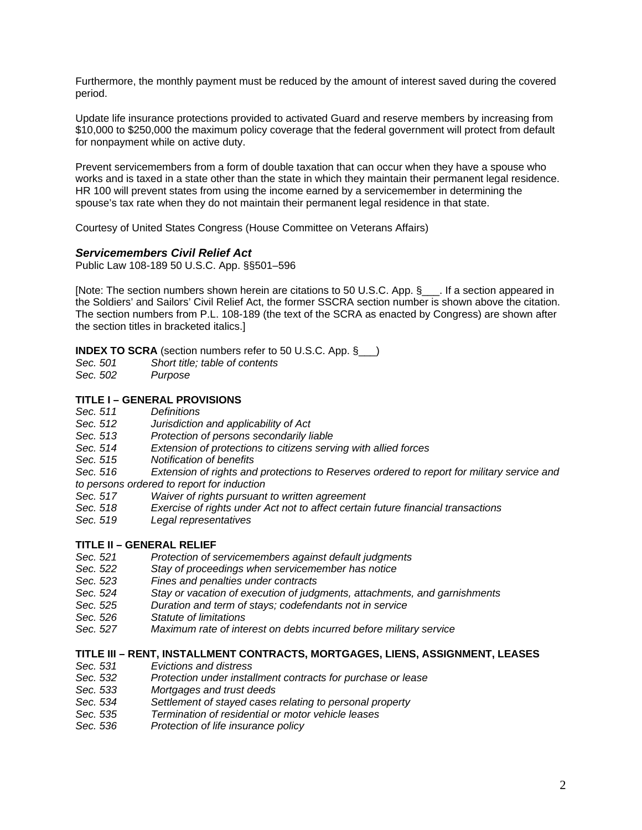Furthermore, the monthly payment must be reduced by the amount of interest saved during the covered period.

Update life insurance protections provided to activated Guard and reserve members by increasing from \$10,000 to \$250,000 the maximum policy coverage that the federal government will protect from default for nonpayment while on active duty.

Prevent servicemembers from a form of double taxation that can occur when they have a spouse who works and is taxed in a state other than the state in which they maintain their permanent legal residence. HR 100 will prevent states from using the income earned by a servicemember in determining the spouse's tax rate when they do not maintain their permanent legal residence in that state.

Courtesy of United States Congress (House Committee on Veterans Affairs)

### *Servicemembers Civil Relief Act*

Public Law 108-189 50 U.S.C. App. §§501–596

[Note: The section numbers shown herein are citations to 50 U.S.C. App. § | If a section appeared in the Soldiers' and Sailors' Civil Relief Act, the former SSCRA section number is shown above the citation. The section numbers from P.L. 108-189 (the text of the SCRA as enacted by Congress) are shown after the section titles in bracketed italics.]

**INDEX TO SCRA** (section numbers refer to 50 U.S.C. App. § )

- *Sec. 501 Short title; table of contents*
- $Purpose$

### **TITLE I – GENERAL PROVISIONS**

- *Sec. 511 Definitions*
- *Sec. 512 Jurisdiction and applicability of Act*
- *Sec. 513 Protection of persons secondarily liable*
- *Sec. 514 Extension of protections to citizens serving with allied forces*
- *Sec. 515 Notification of benefits*
- *Sec. 516 Extension of rights and protections to Reserves ordered to report for military service and to persons ordered to report for induction*
- *Sec. 517 Waiver of rights pursuant to written agreement*
- Exercise of rights under Act not to affect certain future financial transactions
- *Sec. 519 Legal representatives*

### **TITLE II – GENERAL RELIEF**

- *Sec. 521 Protection of servicemembers against default judgments*
- *Sec. 522 Stay of proceedings when servicemember has notice*
- *Sec. 523 Fines and penalties under contracts*
- *Sec. 524 Stay or vacation of execution of judgments, attachments, and garnishments*
- *Sec. 525 Duration and term of stays; codefendants not in service*
- *Sec. 526 Statute of limitations*
- *Sec. 527 Maximum rate of interest on debts incurred before military service*

### **TITLE III – RENT, INSTALLMENT CONTRACTS, MORTGAGES, LIENS, ASSIGNMENT, LEASES**

- *Sec. 531 Evictions and distress*
- *Sec. 532 Protection under installment contracts for purchase or lease*
- *Sec. 533 Mortgages and trust deeds*
- Settlement of stayed cases relating to personal property
- *Sec. 535 Termination of residential or motor vehicle leases*
- *Sec. 536 Protection of life insurance policy*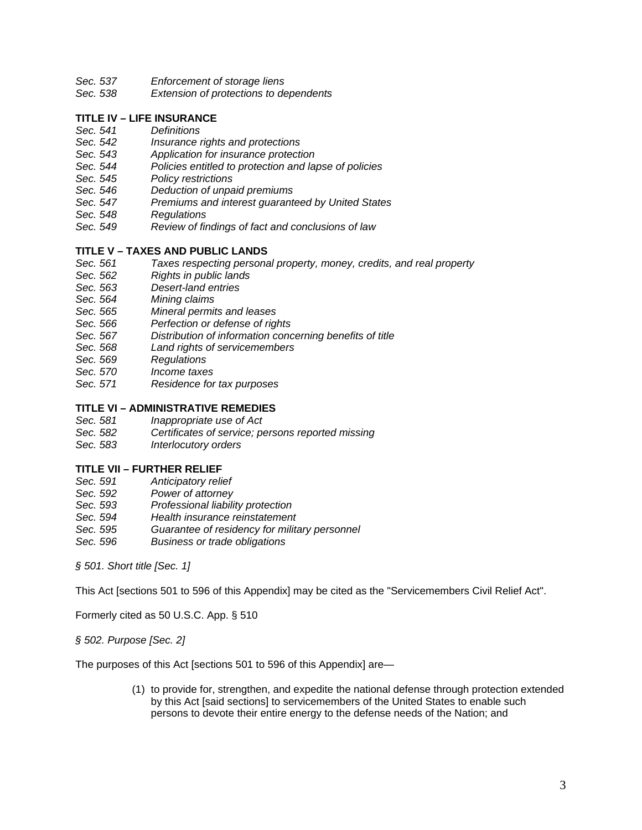- *Sec. 537 Enforcement of storage liens*
- *Sec. 538 Extension of protections to dependents*

# **TITLE IV – LIFE INSURANCE**

- *Sec. 541 Definitions*
- *Sec. 542 Insurance rights and protections*
- *Sec. 543 Application for insurance protection*
- *Sec. 544 Policies entitled to protection and lapse of policies*
- *Sec. 545 Policy restrictions*
- *Sec. 546 Deduction of unpaid premiums*
- *Sec. 547 Premiums and interest guaranteed by United States*
- *Sec. 548 Regulations*
- *Sec. 549 Review of findings of fact and conclusions of law*

### **TITLE V – TAXES AND PUBLIC LANDS**

- *Sec. 561 Taxes respecting personal property, money, credits, and real property*
- *Sec. 562 Rights in public lands*
- *Sec. 563 Desert-land entries*
- *Sec. 564 Mining claims*
- *Sec. 565 Mineral permits and leases*
- **Perfection or defense of rights**
- *Sec. 567 Distribution of information concerning benefits of title*
- *Sec. 568 Land rights of servicemembers*
- *Sec. 569 Regulations*
- *Sec. 570 Income taxes*
- *Sec. 571 Residence for tax purposes*

### **TITLE VI – ADMINISTRATIVE REMEDIES**

- *Sec. 581 Inappropriate use of Act*
- *Sec. 582 Certificates of service; persons reported missing*
- **Interlocutory orders**

### **TITLE VII – FURTHER RELIEF**

- *Sec. 591 Anticipatory relief*
- *Sec. 592 Power of attorney*
- *Sec. 593 Professional liability protection*
- *Sec. 594 Health insurance reinstatement*
- *Sec. 595 Guarantee of residency for military personnel*
- *Sec. 596 Business or trade obligations*

*§ 501. Short title [Sec. 1]* 

This Act [sections 501 to 596 of this Appendix] may be cited as the "Servicemembers Civil Relief Act".

Formerly cited as 50 U.S.C. App. § 510

*§ 502. Purpose [Sec. 2]* 

The purposes of this Act [sections 501 to 596 of this Appendix] are—

(1) to provide for, strengthen, and expedite the national defense through protection extended by this Act [said sections] to servicemembers of the United States to enable such persons to devote their entire energy to the defense needs of the Nation; and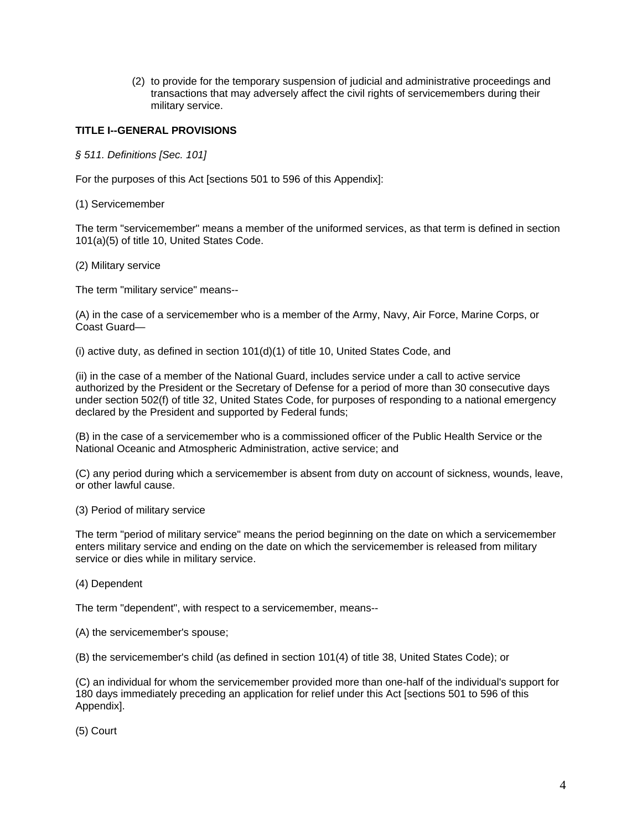(2) to provide for the temporary suspension of judicial and administrative proceedings and transactions that may adversely affect the civil rights of servicemembers during their military service.

## **TITLE I--GENERAL PROVISIONS**

*§ 511. Definitions [Sec. 101]* 

For the purposes of this Act [sections 501 to 596 of this Appendix]:

(1) Servicemember

The term "servicemember" means a member of the uniformed services, as that term is defined in section 101(a)(5) of title 10, United States Code.

(2) Military service

The term "military service" means--

(A) in the case of a servicemember who is a member of the Army, Navy, Air Force, Marine Corps, or Coast Guard—

(i) active duty, as defined in section 101(d)(1) of title 10, United States Code, and

(ii) in the case of a member of the National Guard, includes service under a call to active service authorized by the President or the Secretary of Defense for a period of more than 30 consecutive days under section 502(f) of title 32, United States Code, for purposes of responding to a national emergency declared by the President and supported by Federal funds;

(B) in the case of a servicemember who is a commissioned officer of the Public Health Service or the National Oceanic and Atmospheric Administration, active service; and

(C) any period during which a servicemember is absent from duty on account of sickness, wounds, leave, or other lawful cause.

(3) Period of military service

The term "period of military service" means the period beginning on the date on which a servicemember enters military service and ending on the date on which the servicemember is released from military service or dies while in military service.

(4) Dependent

The term "dependent", with respect to a servicemember, means--

(A) the servicemember's spouse;

(B) the servicemember's child (as defined in section 101(4) of title 38, United States Code); or

(C) an individual for whom the servicemember provided more than one-half of the individual's support for 180 days immediately preceding an application for relief under this Act [sections 501 to 596 of this Appendix].

(5) Court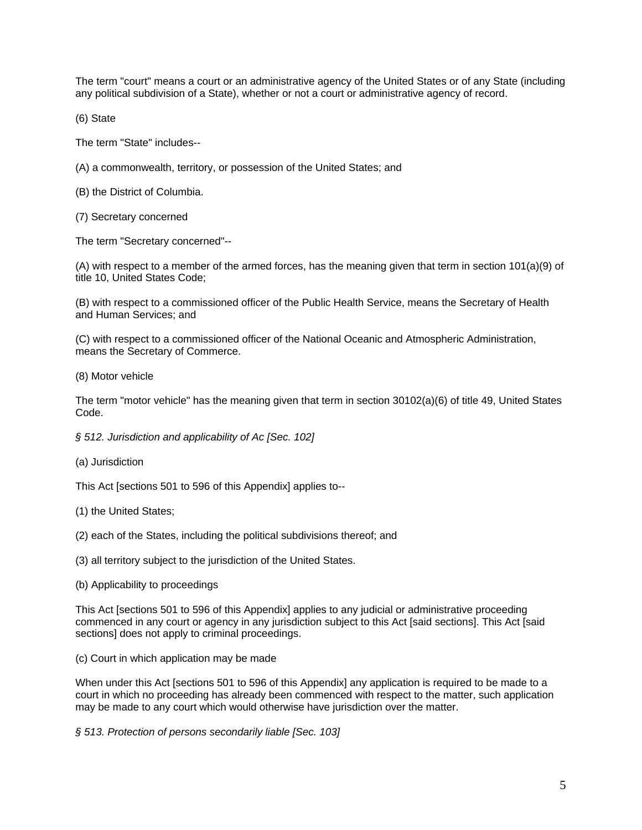The term "court" means a court or an administrative agency of the United States or of any State (including any political subdivision of a State), whether or not a court or administrative agency of record.

(6) State

The term "State" includes--

(A) a commonwealth, territory, or possession of the United States; and

(B) the District of Columbia.

(7) Secretary concerned

The term "Secretary concerned"--

(A) with respect to a member of the armed forces, has the meaning given that term in section 101(a)(9) of title 10, United States Code;

(B) with respect to a commissioned officer of the Public Health Service, means the Secretary of Health and Human Services; and

(C) with respect to a commissioned officer of the National Oceanic and Atmospheric Administration, means the Secretary of Commerce.

(8) Motor vehicle

The term "motor vehicle" has the meaning given that term in section 30102(a)(6) of title 49, United States Code.

*§ 512. Jurisdiction and applicability of Ac [Sec. 102]* 

(a) Jurisdiction

This Act [sections 501 to 596 of this Appendix] applies to--

(1) the United States;

(2) each of the States, including the political subdivisions thereof; and

(3) all territory subject to the jurisdiction of the United States.

(b) Applicability to proceedings

This Act [sections 501 to 596 of this Appendix] applies to any judicial or administrative proceeding commenced in any court or agency in any jurisdiction subject to this Act [said sections]. This Act [said sections] does not apply to criminal proceedings.

(c) Court in which application may be made

When under this Act [sections 501 to 596 of this Appendix] any application is required to be made to a court in which no proceeding has already been commenced with respect to the matter, such application may be made to any court which would otherwise have jurisdiction over the matter.

*§ 513. Protection of persons secondarily liable [Sec. 103]*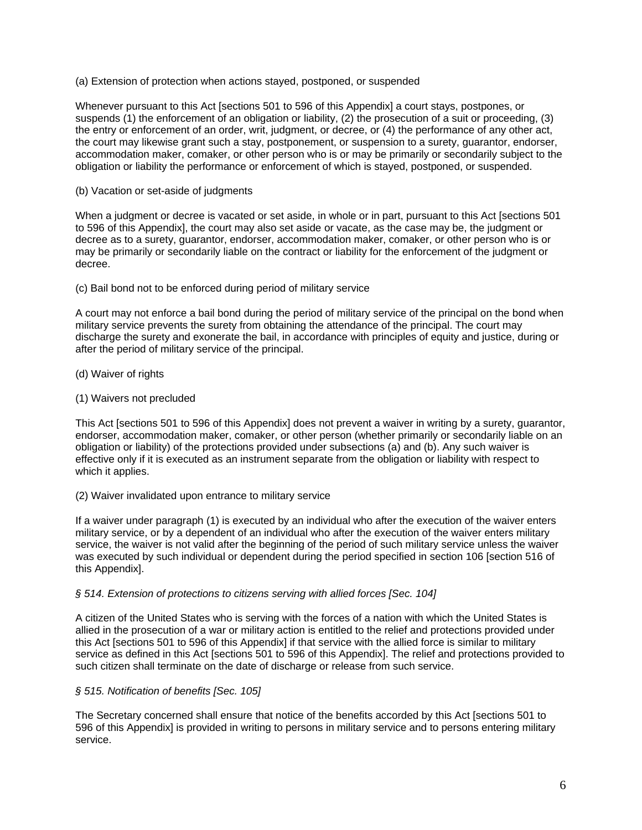### (a) Extension of protection when actions stayed, postponed, or suspended

Whenever pursuant to this Act [sections 501 to 596 of this Appendix] a court stays, postpones, or suspends (1) the enforcement of an obligation or liability, (2) the prosecution of a suit or proceeding, (3) the entry or enforcement of an order, writ, judgment, or decree, or (4) the performance of any other act, the court may likewise grant such a stay, postponement, or suspension to a surety, guarantor, endorser, accommodation maker, comaker, or other person who is or may be primarily or secondarily subject to the obligation or liability the performance or enforcement of which is stayed, postponed, or suspended.

(b) Vacation or set-aside of judgments

When a judgment or decree is vacated or set aside, in whole or in part, pursuant to this Act [sections 501] to 596 of this Appendix], the court may also set aside or vacate, as the case may be, the judgment or decree as to a surety, guarantor, endorser, accommodation maker, comaker, or other person who is or may be primarily or secondarily liable on the contract or liability for the enforcement of the judgment or decree.

### (c) Bail bond not to be enforced during period of military service

A court may not enforce a bail bond during the period of military service of the principal on the bond when military service prevents the surety from obtaining the attendance of the principal. The court may discharge the surety and exonerate the bail, in accordance with principles of equity and justice, during or after the period of military service of the principal.

- (d) Waiver of rights
- (1) Waivers not precluded

This Act Isections 501 to 596 of this Appendix] does not prevent a waiver in writing by a surety, quarantor, endorser, accommodation maker, comaker, or other person (whether primarily or secondarily liable on an obligation or liability) of the protections provided under subsections (a) and (b). Any such waiver is effective only if it is executed as an instrument separate from the obligation or liability with respect to which it applies.

(2) Waiver invalidated upon entrance to military service

If a waiver under paragraph (1) is executed by an individual who after the execution of the waiver enters military service, or by a dependent of an individual who after the execution of the waiver enters military service, the waiver is not valid after the beginning of the period of such military service unless the waiver was executed by such individual or dependent during the period specified in section 106 [section 516 of this Appendix].

# *§ 514. Extension of protections to citizens serving with allied forces [Sec. 104]*

A citizen of the United States who is serving with the forces of a nation with which the United States is allied in the prosecution of a war or military action is entitled to the relief and protections provided under this Act [sections 501 to 596 of this Appendix] if that service with the allied force is similar to military service as defined in this Act [sections 501 to 596 of this Appendix]. The relief and protections provided to such citizen shall terminate on the date of discharge or release from such service.

# *§ 515. Notification of benefits [Sec. 105]*

The Secretary concerned shall ensure that notice of the benefits accorded by this Act [sections 501 to 596 of this Appendix] is provided in writing to persons in military service and to persons entering military service.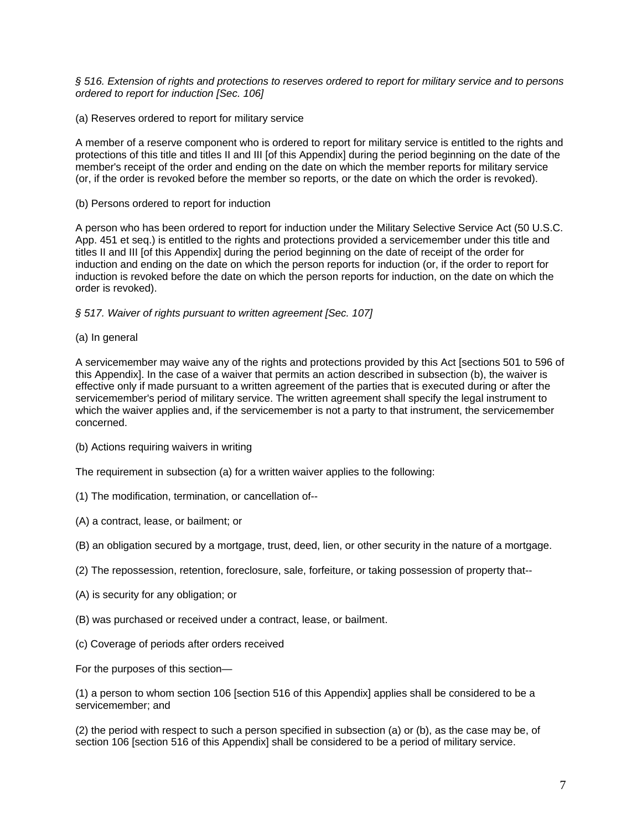*§ 516. Extension of rights and protections to reserves ordered to report for military service and to persons ordered to report for induction [Sec. 106]* 

(a) Reserves ordered to report for military service

A member of a reserve component who is ordered to report for military service is entitled to the rights and protections of this title and titles II and III [of this Appendix] during the period beginning on the date of the member's receipt of the order and ending on the date on which the member reports for military service (or, if the order is revoked before the member so reports, or the date on which the order is revoked).

(b) Persons ordered to report for induction

A person who has been ordered to report for induction under the Military Selective Service Act (50 U.S.C. App. 451 et seq.) is entitled to the rights and protections provided a servicemember under this title and titles II and III [of this Appendix] during the period beginning on the date of receipt of the order for induction and ending on the date on which the person reports for induction (or, if the order to report for induction is revoked before the date on which the person reports for induction, on the date on which the order is revoked).

### *§ 517. Waiver of rights pursuant to written agreement [Sec. 107]*

(a) In general

A servicemember may waive any of the rights and protections provided by this Act [sections 501 to 596 of this Appendix]. In the case of a waiver that permits an action described in subsection (b), the waiver is effective only if made pursuant to a written agreement of the parties that is executed during or after the servicemember's period of military service. The written agreement shall specify the legal instrument to which the waiver applies and, if the servicemember is not a party to that instrument, the servicemember concerned.

(b) Actions requiring waivers in writing

The requirement in subsection (a) for a written waiver applies to the following:

- (1) The modification, termination, or cancellation of--
- (A) a contract, lease, or bailment; or
- (B) an obligation secured by a mortgage, trust, deed, lien, or other security in the nature of a mortgage.
- (2) The repossession, retention, foreclosure, sale, forfeiture, or taking possession of property that--
- (A) is security for any obligation; or
- (B) was purchased or received under a contract, lease, or bailment.
- (c) Coverage of periods after orders received

For the purposes of this section—

(1) a person to whom section 106 [section 516 of this Appendix] applies shall be considered to be a servicemember; and

(2) the period with respect to such a person specified in subsection (a) or (b), as the case may be, of section 106 [section 516 of this Appendix] shall be considered to be a period of military service.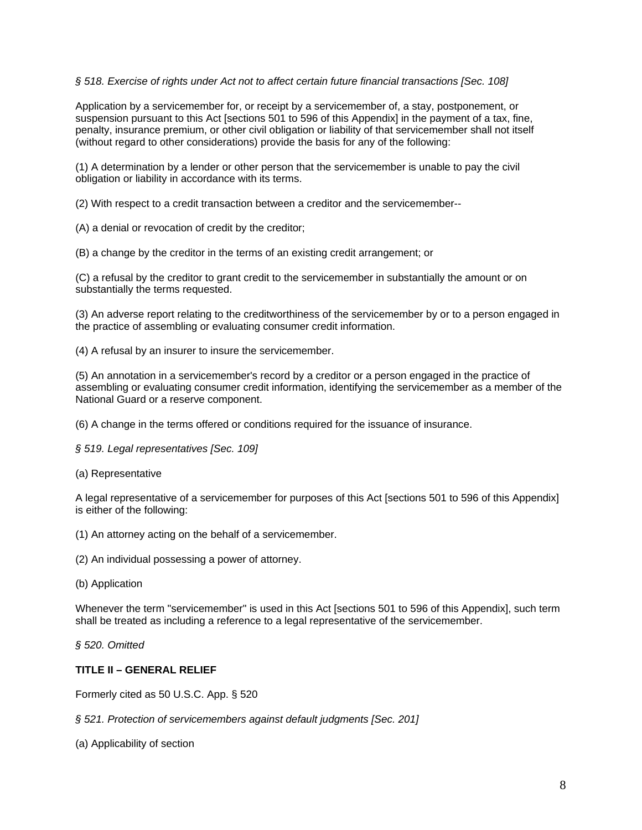# *§ 518. Exercise of rights under Act not to affect certain future financial transactions [Sec. 108]*

Application by a servicemember for, or receipt by a servicemember of, a stay, postponement, or suspension pursuant to this Act [sections 501 to 596 of this Appendix] in the payment of a tax, fine, penalty, insurance premium, or other civil obligation or liability of that servicemember shall not itself (without regard to other considerations) provide the basis for any of the following:

(1) A determination by a lender or other person that the servicemember is unable to pay the civil obligation or liability in accordance with its terms.

(2) With respect to a credit transaction between a creditor and the servicemember--

(A) a denial or revocation of credit by the creditor;

(B) a change by the creditor in the terms of an existing credit arrangement; or

(C) a refusal by the creditor to grant credit to the servicemember in substantially the amount or on substantially the terms requested.

(3) An adverse report relating to the creditworthiness of the servicemember by or to a person engaged in the practice of assembling or evaluating consumer credit information.

(4) A refusal by an insurer to insure the servicemember.

(5) An annotation in a servicemember's record by a creditor or a person engaged in the practice of assembling or evaluating consumer credit information, identifying the servicemember as a member of the National Guard or a reserve component.

(6) A change in the terms offered or conditions required for the issuance of insurance.

*§ 519. Legal representatives [Sec. 109]* 

(a) Representative

A legal representative of a servicemember for purposes of this Act [sections 501 to 596 of this Appendix] is either of the following:

(1) An attorney acting on the behalf of a servicemember.

(2) An individual possessing a power of attorney.

(b) Application

Whenever the term "servicemember" is used in this Act [sections 501 to 596 of this Appendix], such term shall be treated as including a reference to a legal representative of the servicemember.

*§ 520. Omitted* 

### **TITLE II – GENERAL RELIEF**

Formerly cited as 50 U.S.C. App. § 520

*§ 521. Protection of servicemembers against default judgments [Sec. 201]* 

(a) Applicability of section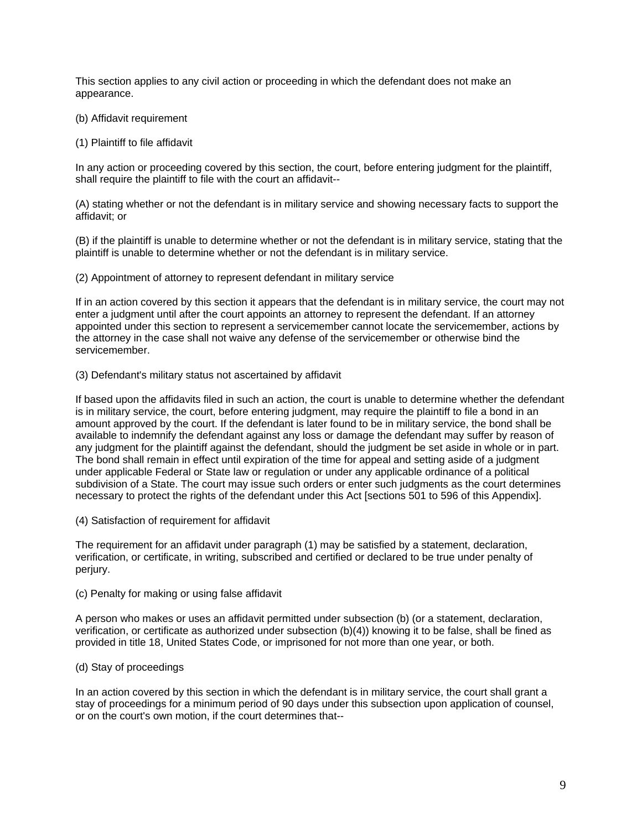This section applies to any civil action or proceeding in which the defendant does not make an appearance.

- (b) Affidavit requirement
- (1) Plaintiff to file affidavit

In any action or proceeding covered by this section, the court, before entering judgment for the plaintiff, shall require the plaintiff to file with the court an affidavit--

(A) stating whether or not the defendant is in military service and showing necessary facts to support the affidavit; or

(B) if the plaintiff is unable to determine whether or not the defendant is in military service, stating that the plaintiff is unable to determine whether or not the defendant is in military service.

(2) Appointment of attorney to represent defendant in military service

If in an action covered by this section it appears that the defendant is in military service, the court may not enter a judgment until after the court appoints an attorney to represent the defendant. If an attorney appointed under this section to represent a servicemember cannot locate the servicemember, actions by the attorney in the case shall not waive any defense of the servicemember or otherwise bind the servicemember.

(3) Defendant's military status not ascertained by affidavit

If based upon the affidavits filed in such an action, the court is unable to determine whether the defendant is in military service, the court, before entering judgment, may require the plaintiff to file a bond in an amount approved by the court. If the defendant is later found to be in military service, the bond shall be available to indemnify the defendant against any loss or damage the defendant may suffer by reason of any judgment for the plaintiff against the defendant, should the judgment be set aside in whole or in part. The bond shall remain in effect until expiration of the time for appeal and setting aside of a judgment under applicable Federal or State law or regulation or under any applicable ordinance of a political subdivision of a State. The court may issue such orders or enter such judgments as the court determines necessary to protect the rights of the defendant under this Act [sections 501 to 596 of this Appendix].

(4) Satisfaction of requirement for affidavit

The requirement for an affidavit under paragraph (1) may be satisfied by a statement, declaration, verification, or certificate, in writing, subscribed and certified or declared to be true under penalty of perjury.

(c) Penalty for making or using false affidavit

A person who makes or uses an affidavit permitted under subsection (b) (or a statement, declaration, verification, or certificate as authorized under subsection (b)(4)) knowing it to be false, shall be fined as provided in title 18, United States Code, or imprisoned for not more than one year, or both.

# (d) Stay of proceedings

In an action covered by this section in which the defendant is in military service, the court shall grant a stay of proceedings for a minimum period of 90 days under this subsection upon application of counsel, or on the court's own motion, if the court determines that--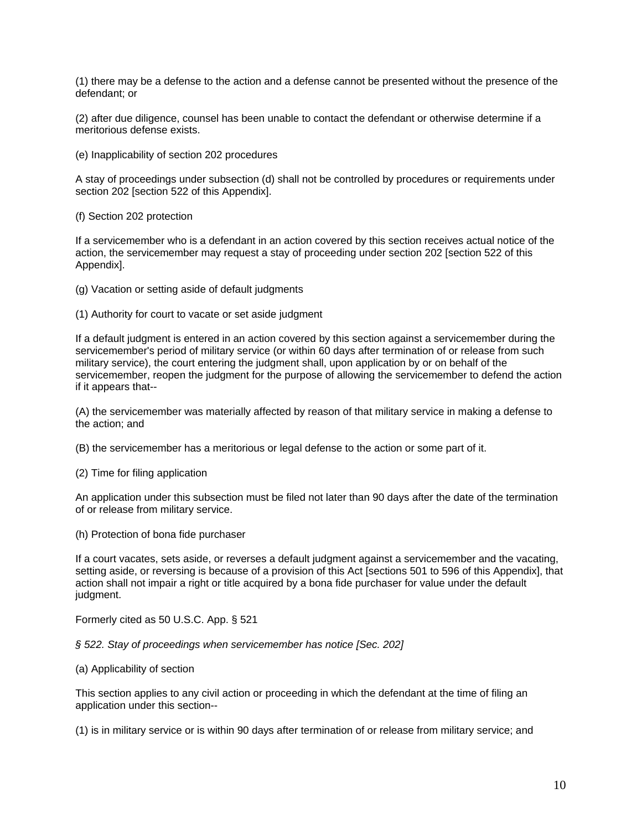(1) there may be a defense to the action and a defense cannot be presented without the presence of the defendant; or

(2) after due diligence, counsel has been unable to contact the defendant or otherwise determine if a meritorious defense exists.

(e) Inapplicability of section 202 procedures

A stay of proceedings under subsection (d) shall not be controlled by procedures or requirements under section 202 [section 522 of this Appendix].

(f) Section 202 protection

If a servicemember who is a defendant in an action covered by this section receives actual notice of the action, the servicemember may request a stay of proceeding under section 202 [section 522 of this Appendix].

(g) Vacation or setting aside of default judgments

(1) Authority for court to vacate or set aside judgment

If a default judgment is entered in an action covered by this section against a servicemember during the servicemember's period of military service (or within 60 days after termination of or release from such military service), the court entering the judgment shall, upon application by or on behalf of the servicemember, reopen the judgment for the purpose of allowing the servicemember to defend the action if it appears that--

(A) the servicemember was materially affected by reason of that military service in making a defense to the action; and

(B) the servicemember has a meritorious or legal defense to the action or some part of it.

(2) Time for filing application

An application under this subsection must be filed not later than 90 days after the date of the termination of or release from military service.

(h) Protection of bona fide purchaser

If a court vacates, sets aside, or reverses a default judgment against a servicemember and the vacating, setting aside, or reversing is because of a provision of this Act [sections 501 to 596 of this Appendix], that action shall not impair a right or title acquired by a bona fide purchaser for value under the default judgment.

Formerly cited as 50 U.S.C. App. § 521

#### *§ 522. Stay of proceedings when servicemember has notice [Sec. 202]*

#### (a) Applicability of section

This section applies to any civil action or proceeding in which the defendant at the time of filing an application under this section--

(1) is in military service or is within 90 days after termination of or release from military service; and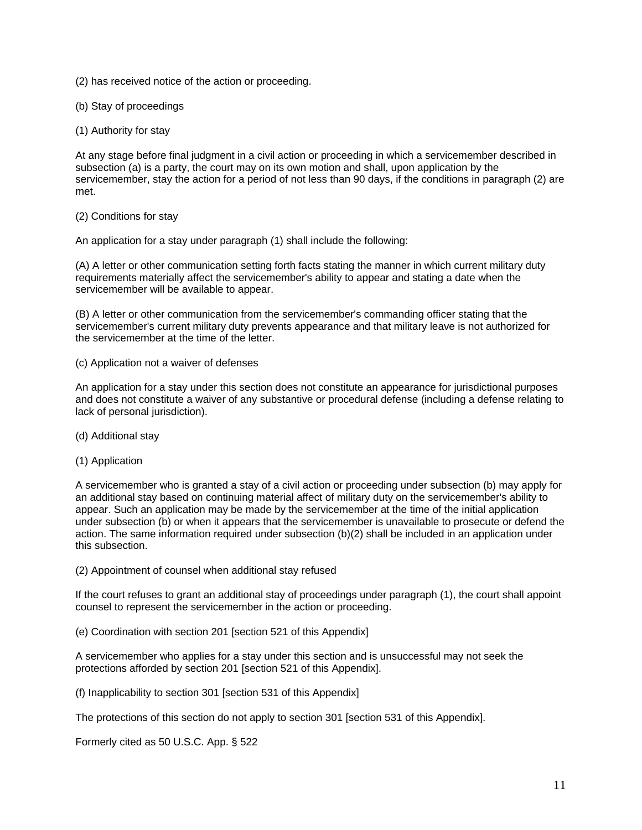(2) has received notice of the action or proceeding.

- (b) Stay of proceedings
- (1) Authority for stay

At any stage before final judgment in a civil action or proceeding in which a servicemember described in subsection (a) is a party, the court may on its own motion and shall, upon application by the servicemember, stay the action for a period of not less than 90 days, if the conditions in paragraph (2) are met.

### (2) Conditions for stay

An application for a stay under paragraph (1) shall include the following:

(A) A letter or other communication setting forth facts stating the manner in which current military duty requirements materially affect the servicemember's ability to appear and stating a date when the servicemember will be available to appear.

(B) A letter or other communication from the servicemember's commanding officer stating that the servicemember's current military duty prevents appearance and that military leave is not authorized for the servicemember at the time of the letter.

(c) Application not a waiver of defenses

An application for a stay under this section does not constitute an appearance for jurisdictional purposes and does not constitute a waiver of any substantive or procedural defense (including a defense relating to lack of personal jurisdiction).

- (d) Additional stay
- (1) Application

A servicemember who is granted a stay of a civil action or proceeding under subsection (b) may apply for an additional stay based on continuing material affect of military duty on the servicemember's ability to appear. Such an application may be made by the servicemember at the time of the initial application under subsection (b) or when it appears that the servicemember is unavailable to prosecute or defend the action. The same information required under subsection (b)(2) shall be included in an application under this subsection.

(2) Appointment of counsel when additional stay refused

If the court refuses to grant an additional stay of proceedings under paragraph (1), the court shall appoint counsel to represent the servicemember in the action or proceeding.

(e) Coordination with section 201 [section 521 of this Appendix]

A servicemember who applies for a stay under this section and is unsuccessful may not seek the protections afforded by section 201 [section 521 of this Appendix].

(f) Inapplicability to section 301 [section 531 of this Appendix]

The protections of this section do not apply to section 301 [section 531 of this Appendix].

Formerly cited as 50 U.S.C. App. § 522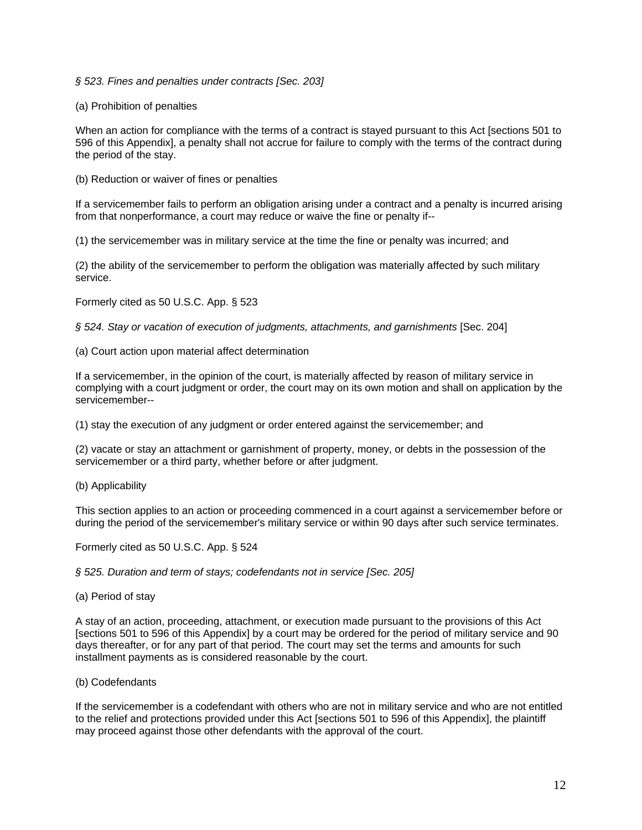### *§ 523. Fines and penalties under contracts [Sec. 203]*

### (a) Prohibition of penalties

When an action for compliance with the terms of a contract is stayed pursuant to this Act [sections 501 to 596 of this Appendix], a penalty shall not accrue for failure to comply with the terms of the contract during the period of the stay.

(b) Reduction or waiver of fines or penalties

If a servicemember fails to perform an obligation arising under a contract and a penalty is incurred arising from that nonperformance, a court may reduce or waive the fine or penalty if--

(1) the servicemember was in military service at the time the fine or penalty was incurred; and

(2) the ability of the servicemember to perform the obligation was materially affected by such military service.

Formerly cited as 50 U.S.C. App. § 523

*§ 524. Stay or vacation of execution of judgments, attachments, and garnishments* [Sec. 204]

(a) Court action upon material affect determination

If a servicemember, in the opinion of the court, is materially affected by reason of military service in complying with a court judgment or order, the court may on its own motion and shall on application by the servicemember--

(1) stay the execution of any judgment or order entered against the servicemember; and

(2) vacate or stay an attachment or garnishment of property, money, or debts in the possession of the servicemember or a third party, whether before or after judgment.

(b) Applicability

This section applies to an action or proceeding commenced in a court against a servicemember before or during the period of the servicemember's military service or within 90 days after such service terminates.

Formerly cited as 50 U.S.C. App. § 524

*§ 525. Duration and term of stays; codefendants not in service [Sec. 205]* 

(a) Period of stay

A stay of an action, proceeding, attachment, or execution made pursuant to the provisions of this Act [sections 501 to 596 of this Appendix] by a court may be ordered for the period of military service and 90 days thereafter, or for any part of that period. The court may set the terms and amounts for such installment payments as is considered reasonable by the court.

(b) Codefendants

If the servicemember is a codefendant with others who are not in military service and who are not entitled to the relief and protections provided under this Act [sections 501 to 596 of this Appendix], the plaintiff may proceed against those other defendants with the approval of the court.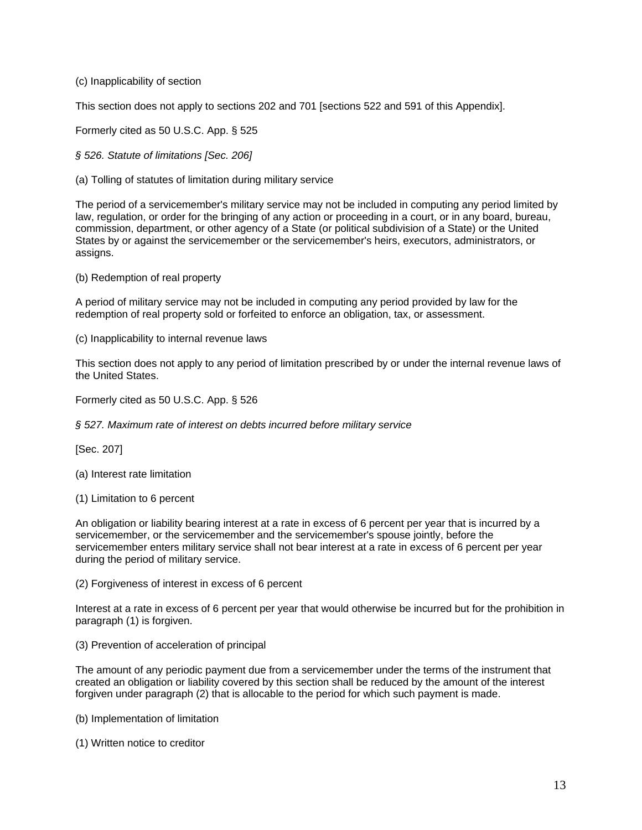(c) Inapplicability of section

This section does not apply to sections 202 and 701 [sections 522 and 591 of this Appendix].

Formerly cited as 50 U.S.C. App. § 525

*§ 526. Statute of limitations [Sec. 206]* 

(a) Tolling of statutes of limitation during military service

The period of a servicemember's military service may not be included in computing any period limited by law, regulation, or order for the bringing of any action or proceeding in a court, or in any board, bureau, commission, department, or other agency of a State (or political subdivision of a State) or the United States by or against the servicemember or the servicemember's heirs, executors, administrators, or assigns.

(b) Redemption of real property

A period of military service may not be included in computing any period provided by law for the redemption of real property sold or forfeited to enforce an obligation, tax, or assessment.

(c) Inapplicability to internal revenue laws

This section does not apply to any period of limitation prescribed by or under the internal revenue laws of the United States.

Formerly cited as 50 U.S.C. App. § 526

*§ 527. Maximum rate of interest on debts incurred before military service* 

[Sec. 207]

(a) Interest rate limitation

(1) Limitation to 6 percent

An obligation or liability bearing interest at a rate in excess of 6 percent per year that is incurred by a servicemember, or the servicemember and the servicemember's spouse jointly, before the servicemember enters military service shall not bear interest at a rate in excess of 6 percent per year during the period of military service.

(2) Forgiveness of interest in excess of 6 percent

Interest at a rate in excess of 6 percent per year that would otherwise be incurred but for the prohibition in paragraph (1) is forgiven.

(3) Prevention of acceleration of principal

The amount of any periodic payment due from a servicemember under the terms of the instrument that created an obligation or liability covered by this section shall be reduced by the amount of the interest forgiven under paragraph (2) that is allocable to the period for which such payment is made.

(b) Implementation of limitation

(1) Written notice to creditor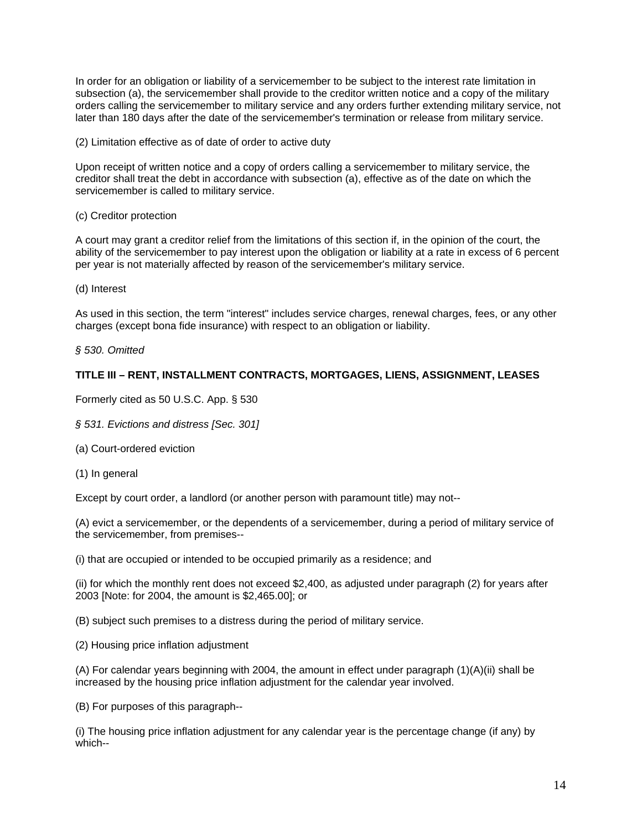In order for an obligation or liability of a servicemember to be subject to the interest rate limitation in subsection (a), the servicemember shall provide to the creditor written notice and a copy of the military orders calling the servicemember to military service and any orders further extending military service, not later than 180 days after the date of the servicemember's termination or release from military service.

(2) Limitation effective as of date of order to active duty

Upon receipt of written notice and a copy of orders calling a servicemember to military service, the creditor shall treat the debt in accordance with subsection (a), effective as of the date on which the servicemember is called to military service.

(c) Creditor protection

A court may grant a creditor relief from the limitations of this section if, in the opinion of the court, the ability of the servicemember to pay interest upon the obligation or liability at a rate in excess of 6 percent per year is not materially affected by reason of the servicemember's military service.

(d) Interest

As used in this section, the term "interest" includes service charges, renewal charges, fees, or any other charges (except bona fide insurance) with respect to an obligation or liability.

*§ 530. Omitted* 

# **TITLE III – RENT, INSTALLMENT CONTRACTS, MORTGAGES, LIENS, ASSIGNMENT, LEASES**

Formerly cited as 50 U.S.C. App. § 530

*§ 531. Evictions and distress [Sec. 301]* 

(a) Court-ordered eviction

(1) In general

Except by court order, a landlord (or another person with paramount title) may not--

(A) evict a servicemember, or the dependents of a servicemember, during a period of military service of the servicemember, from premises--

(i) that are occupied or intended to be occupied primarily as a residence; and

(ii) for which the monthly rent does not exceed \$2,400, as adjusted under paragraph (2) for years after 2003 [Note: for 2004, the amount is \$2,465.00]; or

(B) subject such premises to a distress during the period of military service.

(2) Housing price inflation adjustment

(A) For calendar years beginning with 2004, the amount in effect under paragraph (1)(A)(ii) shall be increased by the housing price inflation adjustment for the calendar year involved.

(B) For purposes of this paragraph--

(i) The housing price inflation adjustment for any calendar year is the percentage change (if any) by which--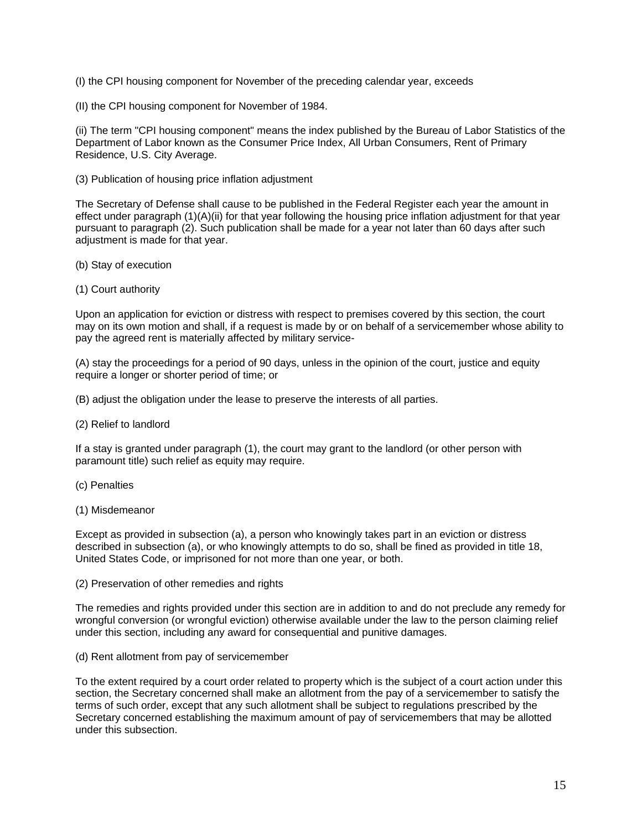(I) the CPI housing component for November of the preceding calendar year, exceeds

(II) the CPI housing component for November of 1984.

(ii) The term "CPI housing component" means the index published by the Bureau of Labor Statistics of the Department of Labor known as the Consumer Price Index, All Urban Consumers, Rent of Primary Residence, U.S. City Average.

(3) Publication of housing price inflation adjustment

The Secretary of Defense shall cause to be published in the Federal Register each year the amount in effect under paragraph (1)(A)(ii) for that year following the housing price inflation adjustment for that year pursuant to paragraph (2). Such publication shall be made for a year not later than 60 days after such adjustment is made for that year.

- (b) Stay of execution
- (1) Court authority

Upon an application for eviction or distress with respect to premises covered by this section, the court may on its own motion and shall, if a request is made by or on behalf of a servicemember whose ability to pay the agreed rent is materially affected by military service-

(A) stay the proceedings for a period of 90 days, unless in the opinion of the court, justice and equity require a longer or shorter period of time; or

(B) adjust the obligation under the lease to preserve the interests of all parties.

(2) Relief to landlord

If a stay is granted under paragraph (1), the court may grant to the landlord (or other person with paramount title) such relief as equity may require.

- (c) Penalties
- (1) Misdemeanor

Except as provided in subsection (a), a person who knowingly takes part in an eviction or distress described in subsection (a), or who knowingly attempts to do so, shall be fined as provided in title 18, United States Code, or imprisoned for not more than one year, or both.

(2) Preservation of other remedies and rights

The remedies and rights provided under this section are in addition to and do not preclude any remedy for wrongful conversion (or wrongful eviction) otherwise available under the law to the person claiming relief under this section, including any award for consequential and punitive damages.

(d) Rent allotment from pay of servicemember

To the extent required by a court order related to property which is the subject of a court action under this section, the Secretary concerned shall make an allotment from the pay of a servicemember to satisfy the terms of such order, except that any such allotment shall be subject to regulations prescribed by the Secretary concerned establishing the maximum amount of pay of servicemembers that may be allotted under this subsection.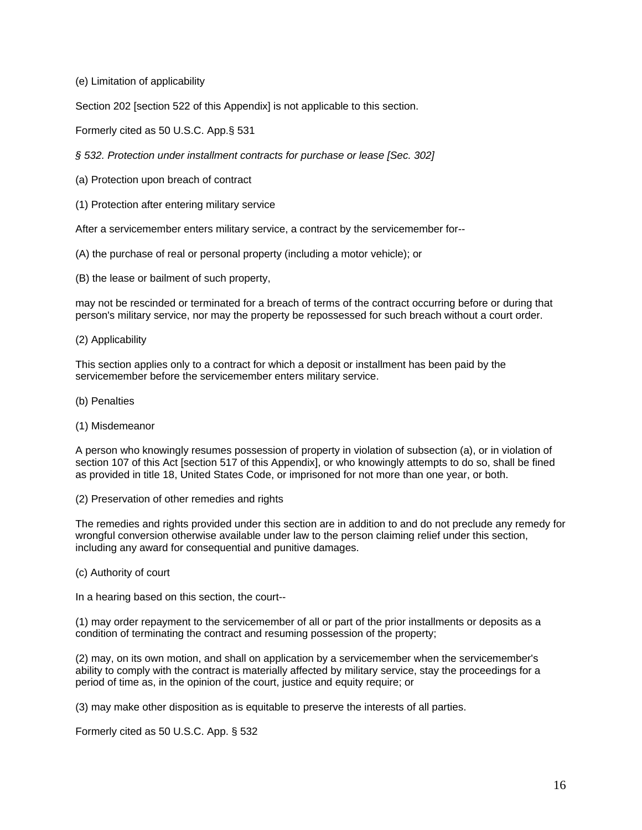(e) Limitation of applicability

Section 202 [section 522 of this Appendix] is not applicable to this section.

Formerly cited as 50 U.S.C. App.§ 531

*§ 532. Protection under installment contracts for purchase or lease [Sec. 302]* 

- (a) Protection upon breach of contract
- (1) Protection after entering military service

After a servicemember enters military service, a contract by the servicemember for--

(A) the purchase of real or personal property (including a motor vehicle); or

(B) the lease or bailment of such property,

may not be rescinded or terminated for a breach of terms of the contract occurring before or during that person's military service, nor may the property be repossessed for such breach without a court order.

### (2) Applicability

This section applies only to a contract for which a deposit or installment has been paid by the servicemember before the servicemember enters military service.

- (b) Penalties
- (1) Misdemeanor

A person who knowingly resumes possession of property in violation of subsection (a), or in violation of section 107 of this Act [section 517 of this Appendix], or who knowingly attempts to do so, shall be fined as provided in title 18, United States Code, or imprisoned for not more than one year, or both.

(2) Preservation of other remedies and rights

The remedies and rights provided under this section are in addition to and do not preclude any remedy for wrongful conversion otherwise available under law to the person claiming relief under this section, including any award for consequential and punitive damages.

(c) Authority of court

In a hearing based on this section, the court--

(1) may order repayment to the servicemember of all or part of the prior installments or deposits as a condition of terminating the contract and resuming possession of the property;

(2) may, on its own motion, and shall on application by a servicemember when the servicemember's ability to comply with the contract is materially affected by military service, stay the proceedings for a period of time as, in the opinion of the court, justice and equity require; or

(3) may make other disposition as is equitable to preserve the interests of all parties.

Formerly cited as 50 U.S.C. App. § 532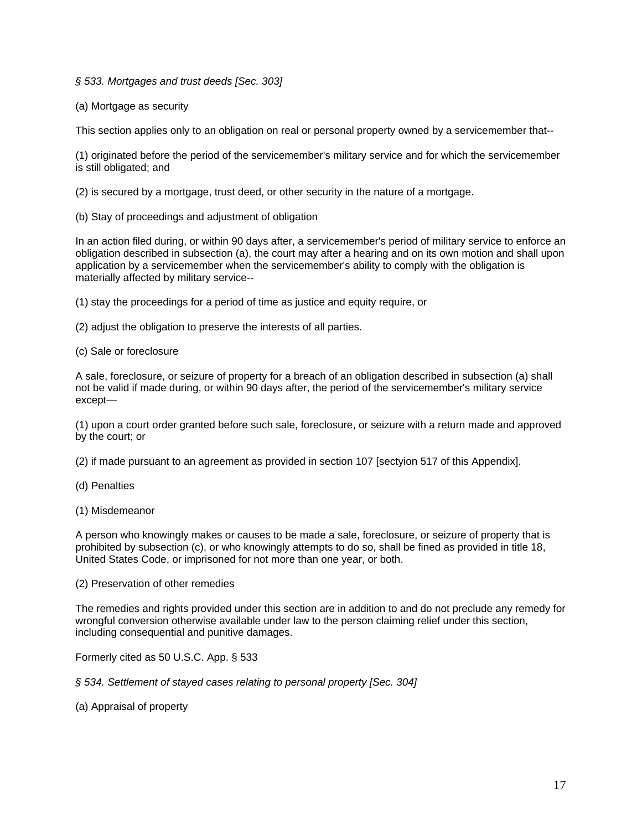*§ 533. Mortgages and trust deeds [Sec. 303]*

(a) Mortgage as security

This section applies only to an obligation on real or personal property owned by a servicemember that--

(1) originated before the period of the servicemember's military service and for which the servicemember is still obligated; and

(2) is secured by a mortgage, trust deed, or other security in the nature of a mortgage.

(b) Stay of proceedings and adjustment of obligation

In an action filed during, or within 90 days after, a servicemember's period of military service to enforce an obligation described in subsection (a), the court may after a hearing and on its own motion and shall upon application by a servicemember when the servicemember's ability to comply with the obligation is materially affected by military service--

(1) stay the proceedings for a period of time as justice and equity require, or

(2) adjust the obligation to preserve the interests of all parties.

(c) Sale or foreclosure

A sale, foreclosure, or seizure of property for a breach of an obligation described in subsection (a) shall not be valid if made during, or within 90 days after, the period of the servicemember's military service except—

(1) upon a court order granted before such sale, foreclosure, or seizure with a return made and approved by the court; or

(2) if made pursuant to an agreement as provided in section 107 [sectyion 517 of this Appendix].

(d) Penalties

(1) Misdemeanor

A person who knowingly makes or causes to be made a sale, foreclosure, or seizure of property that is prohibited by subsection (c), or who knowingly attempts to do so, shall be fined as provided in title 18, United States Code, or imprisoned for not more than one year, or both.

(2) Preservation of other remedies

The remedies and rights provided under this section are in addition to and do not preclude any remedy for wrongful conversion otherwise available under law to the person claiming relief under this section, including consequential and punitive damages.

Formerly cited as 50 U.S.C. App. § 533

*§ 534. Settlement of stayed cases relating to personal property [Sec. 304]* 

(a) Appraisal of property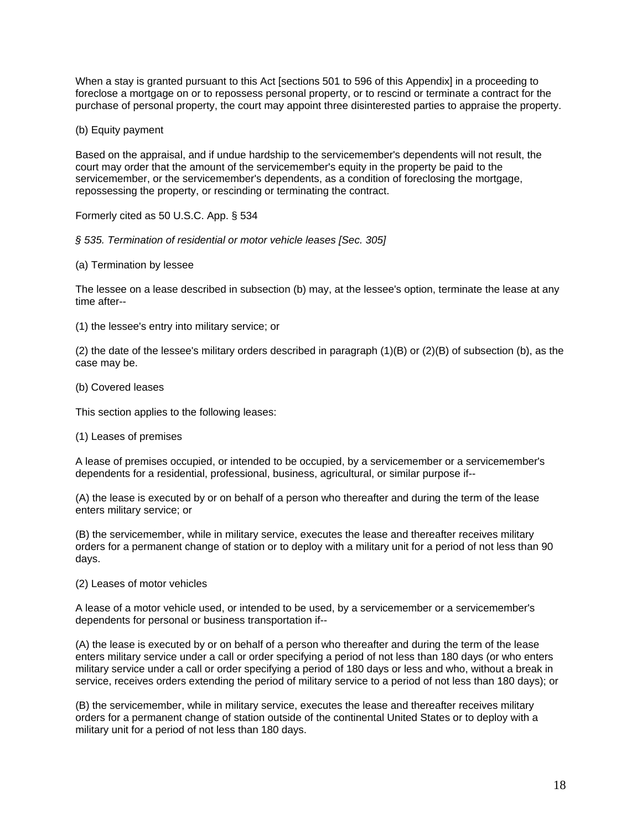When a stay is granted pursuant to this Act [sections 501 to 596 of this Appendix] in a proceeding to foreclose a mortgage on or to repossess personal property, or to rescind or terminate a contract for the purchase of personal property, the court may appoint three disinterested parties to appraise the property.

(b) Equity payment

Based on the appraisal, and if undue hardship to the servicemember's dependents will not result, the court may order that the amount of the servicemember's equity in the property be paid to the servicemember, or the servicemember's dependents, as a condition of foreclosing the mortgage, repossessing the property, or rescinding or terminating the contract.

Formerly cited as 50 U.S.C. App. § 534

*§ 535. Termination of residential or motor vehicle leases [Sec. 305]* 

(a) Termination by lessee

The lessee on a lease described in subsection (b) may, at the lessee's option, terminate the lease at any time after--

(1) the lessee's entry into military service; or

(2) the date of the lessee's military orders described in paragraph (1)(B) or (2)(B) of subsection (b), as the case may be.

(b) Covered leases

This section applies to the following leases:

(1) Leases of premises

A lease of premises occupied, or intended to be occupied, by a servicemember or a servicemember's dependents for a residential, professional, business, agricultural, or similar purpose if--

(A) the lease is executed by or on behalf of a person who thereafter and during the term of the lease enters military service; or

(B) the servicemember, while in military service, executes the lease and thereafter receives military orders for a permanent change of station or to deploy with a military unit for a period of not less than 90 days.

### (2) Leases of motor vehicles

A lease of a motor vehicle used, or intended to be used, by a servicemember or a servicemember's dependents for personal or business transportation if--

(A) the lease is executed by or on behalf of a person who thereafter and during the term of the lease enters military service under a call or order specifying a period of not less than 180 days (or who enters military service under a call or order specifying a period of 180 days or less and who, without a break in service, receives orders extending the period of military service to a period of not less than 180 days); or

(B) the servicemember, while in military service, executes the lease and thereafter receives military orders for a permanent change of station outside of the continental United States or to deploy with a military unit for a period of not less than 180 days.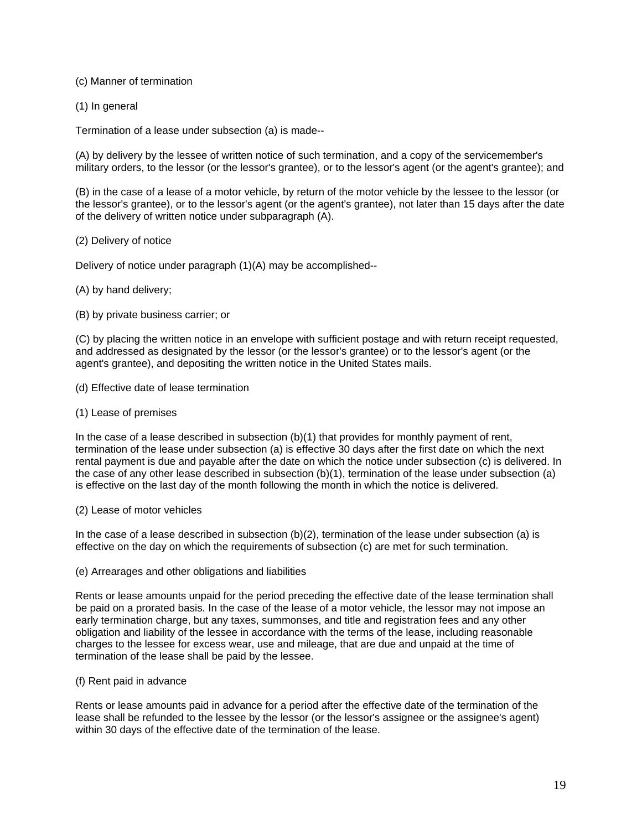### (c) Manner of termination

(1) In general

Termination of a lease under subsection (a) is made--

(A) by delivery by the lessee of written notice of such termination, and a copy of the servicemember's military orders, to the lessor (or the lessor's grantee), or to the lessor's agent (or the agent's grantee); and

(B) in the case of a lease of a motor vehicle, by return of the motor vehicle by the lessee to the lessor (or the lessor's grantee), or to the lessor's agent (or the agent's grantee), not later than 15 days after the date of the delivery of written notice under subparagraph (A).

### (2) Delivery of notice

Delivery of notice under paragraph (1)(A) may be accomplished--

# (A) by hand delivery;

(B) by private business carrier; or

(C) by placing the written notice in an envelope with sufficient postage and with return receipt requested, and addressed as designated by the lessor (or the lessor's grantee) or to the lessor's agent (or the agent's grantee), and depositing the written notice in the United States mails.

- (d) Effective date of lease termination
- (1) Lease of premises

In the case of a lease described in subsection (b)(1) that provides for monthly payment of rent, termination of the lease under subsection (a) is effective 30 days after the first date on which the next rental payment is due and payable after the date on which the notice under subsection (c) is delivered. In the case of any other lease described in subsection (b)(1), termination of the lease under subsection (a) is effective on the last day of the month following the month in which the notice is delivered.

### (2) Lease of motor vehicles

In the case of a lease described in subsection  $(b)(2)$ , termination of the lease under subsection (a) is effective on the day on which the requirements of subsection (c) are met for such termination.

(e) Arrearages and other obligations and liabilities

Rents or lease amounts unpaid for the period preceding the effective date of the lease termination shall be paid on a prorated basis. In the case of the lease of a motor vehicle, the lessor may not impose an early termination charge, but any taxes, summonses, and title and registration fees and any other obligation and liability of the lessee in accordance with the terms of the lease, including reasonable charges to the lessee for excess wear, use and mileage, that are due and unpaid at the time of termination of the lease shall be paid by the lessee.

### (f) Rent paid in advance

Rents or lease amounts paid in advance for a period after the effective date of the termination of the lease shall be refunded to the lessee by the lessor (or the lessor's assignee or the assignee's agent) within 30 days of the effective date of the termination of the lease.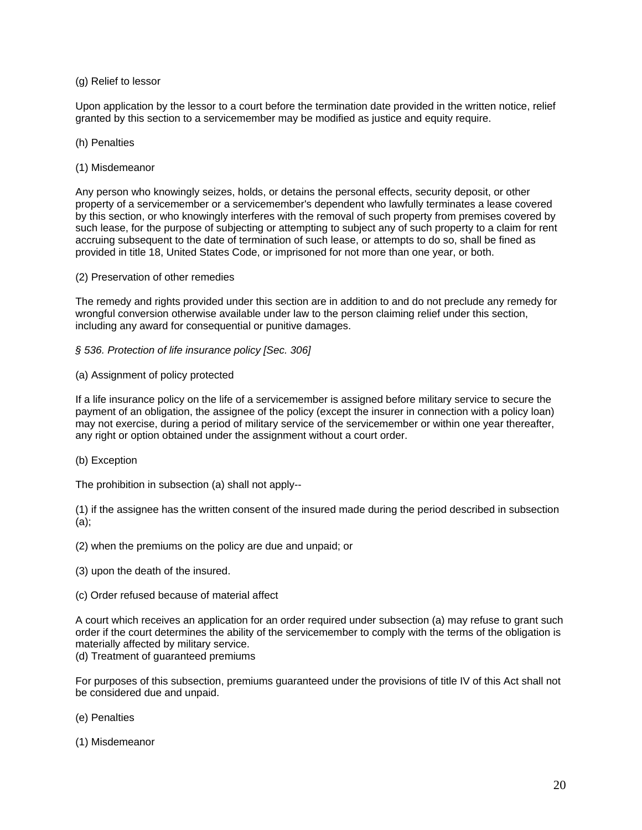### (g) Relief to lessor

Upon application by the lessor to a court before the termination date provided in the written notice, relief granted by this section to a servicemember may be modified as justice and equity require.

### (h) Penalties

(1) Misdemeanor

Any person who knowingly seizes, holds, or detains the personal effects, security deposit, or other property of a servicemember or a servicemember's dependent who lawfully terminates a lease covered by this section, or who knowingly interferes with the removal of such property from premises covered by such lease, for the purpose of subjecting or attempting to subject any of such property to a claim for rent accruing subsequent to the date of termination of such lease, or attempts to do so, shall be fined as provided in title 18, United States Code, or imprisoned for not more than one year, or both.

(2) Preservation of other remedies

The remedy and rights provided under this section are in addition to and do not preclude any remedy for wrongful conversion otherwise available under law to the person claiming relief under this section, including any award for consequential or punitive damages.

### *§ 536. Protection of life insurance policy [Sec. 306]*

### (a) Assignment of policy protected

If a life insurance policy on the life of a servicemember is assigned before military service to secure the payment of an obligation, the assignee of the policy (except the insurer in connection with a policy loan) may not exercise, during a period of military service of the servicemember or within one year thereafter, any right or option obtained under the assignment without a court order.

### (b) Exception

The prohibition in subsection (a) shall not apply--

(1) if the assignee has the written consent of the insured made during the period described in subsection (a);

- (2) when the premiums on the policy are due and unpaid; or
- (3) upon the death of the insured.
- (c) Order refused because of material affect

A court which receives an application for an order required under subsection (a) may refuse to grant such order if the court determines the ability of the servicemember to comply with the terms of the obligation is materially affected by military service.

(d) Treatment of guaranteed premiums

For purposes of this subsection, premiums guaranteed under the provisions of title IV of this Act shall not be considered due and unpaid.

- (e) Penalties
- (1) Misdemeanor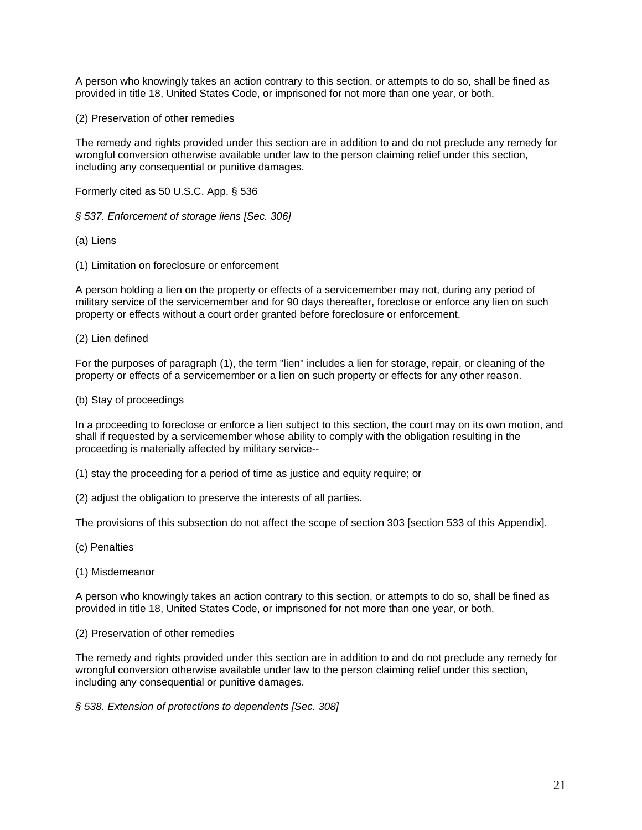A person who knowingly takes an action contrary to this section, or attempts to do so, shall be fined as provided in title 18, United States Code, or imprisoned for not more than one year, or both.

(2) Preservation of other remedies

The remedy and rights provided under this section are in addition to and do not preclude any remedy for wrongful conversion otherwise available under law to the person claiming relief under this section, including any consequential or punitive damages.

Formerly cited as 50 U.S.C. App. § 536

*§ 537. Enforcement of storage liens [Sec. 306]* 

(a) Liens

(1) Limitation on foreclosure or enforcement

A person holding a lien on the property or effects of a servicemember may not, during any period of military service of the servicemember and for 90 days thereafter, foreclose or enforce any lien on such property or effects without a court order granted before foreclosure or enforcement.

### (2) Lien defined

For the purposes of paragraph (1), the term "lien" includes a lien for storage, repair, or cleaning of the property or effects of a servicemember or a lien on such property or effects for any other reason.

### (b) Stay of proceedings

In a proceeding to foreclose or enforce a lien subject to this section, the court may on its own motion, and shall if requested by a servicemember whose ability to comply with the obligation resulting in the proceeding is materially affected by military service--

(1) stay the proceeding for a period of time as justice and equity require; or

(2) adjust the obligation to preserve the interests of all parties.

The provisions of this subsection do not affect the scope of section 303 [section 533 of this Appendix].

(c) Penalties

(1) Misdemeanor

A person who knowingly takes an action contrary to this section, or attempts to do so, shall be fined as provided in title 18, United States Code, or imprisoned for not more than one year, or both.

(2) Preservation of other remedies

The remedy and rights provided under this section are in addition to and do not preclude any remedy for wrongful conversion otherwise available under law to the person claiming relief under this section, including any consequential or punitive damages.

*§ 538. Extension of protections to dependents [Sec. 308]*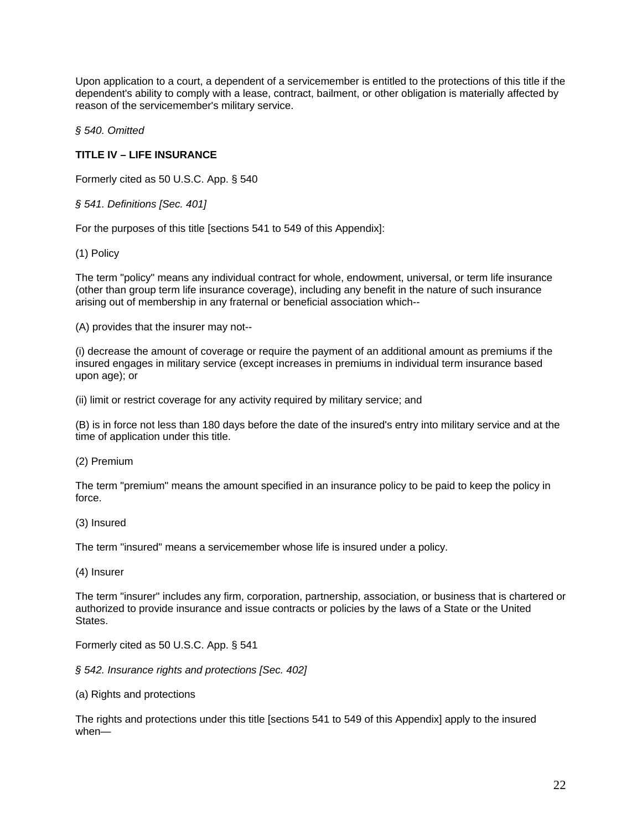Upon application to a court, a dependent of a servicemember is entitled to the protections of this title if the dependent's ability to comply with a lease, contract, bailment, or other obligation is materially affected by reason of the servicemember's military service.

*§ 540. Omitted* 

# **TITLE IV – LIFE INSURANCE**

Formerly cited as 50 U.S.C. App. § 540

*§ 541. Definitions [Sec. 401]* 

For the purposes of this title [sections 541 to 549 of this Appendix]:

(1) Policy

The term "policy" means any individual contract for whole, endowment, universal, or term life insurance (other than group term life insurance coverage), including any benefit in the nature of such insurance arising out of membership in any fraternal or beneficial association which--

(A) provides that the insurer may not--

(i) decrease the amount of coverage or require the payment of an additional amount as premiums if the insured engages in military service (except increases in premiums in individual term insurance based upon age); or

(ii) limit or restrict coverage for any activity required by military service; and

(B) is in force not less than 180 days before the date of the insured's entry into military service and at the time of application under this title.

(2) Premium

The term "premium" means the amount specified in an insurance policy to be paid to keep the policy in force.

(3) Insured

The term "insured" means a servicemember whose life is insured under a policy.

(4) Insurer

The term "insurer" includes any firm, corporation, partnership, association, or business that is chartered or authorized to provide insurance and issue contracts or policies by the laws of a State or the United **States** 

Formerly cited as 50 U.S.C. App. § 541

*§ 542. Insurance rights and protections [Sec. 402]* 

(a) Rights and protections

The rights and protections under this title [sections 541 to 549 of this Appendix] apply to the insured when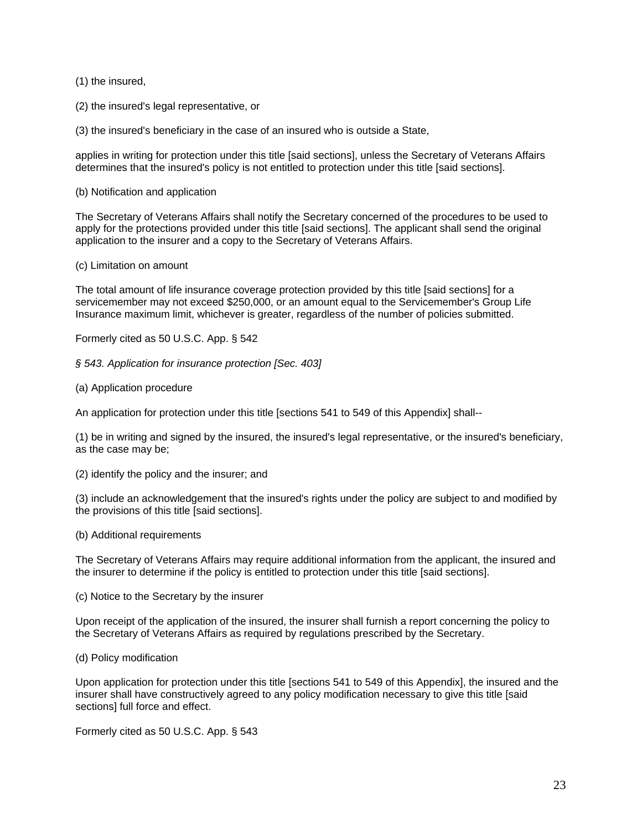(1) the insured,

(2) the insured's legal representative, or

(3) the insured's beneficiary in the case of an insured who is outside a State,

applies in writing for protection under this title [said sections], unless the Secretary of Veterans Affairs determines that the insured's policy is not entitled to protection under this title [said sections].

(b) Notification and application

The Secretary of Veterans Affairs shall notify the Secretary concerned of the procedures to be used to apply for the protections provided under this title [said sections]. The applicant shall send the original application to the insurer and a copy to the Secretary of Veterans Affairs.

(c) Limitation on amount

The total amount of life insurance coverage protection provided by this title [said sections] for a servicemember may not exceed \$250,000, or an amount equal to the Servicemember's Group Life Insurance maximum limit, whichever is greater, regardless of the number of policies submitted.

Formerly cited as 50 U.S.C. App. § 542

*§ 543. Application for insurance protection [Sec. 403]* 

(a) Application procedure

An application for protection under this title [sections 541 to 549 of this Appendix] shall--

(1) be in writing and signed by the insured, the insured's legal representative, or the insured's beneficiary, as the case may be;

(2) identify the policy and the insurer; and

(3) include an acknowledgement that the insured's rights under the policy are subject to and modified by the provisions of this title [said sections].

(b) Additional requirements

The Secretary of Veterans Affairs may require additional information from the applicant, the insured and the insurer to determine if the policy is entitled to protection under this title [said sections].

(c) Notice to the Secretary by the insurer

Upon receipt of the application of the insured, the insurer shall furnish a report concerning the policy to the Secretary of Veterans Affairs as required by regulations prescribed by the Secretary.

### (d) Policy modification

Upon application for protection under this title [sections 541 to 549 of this Appendix], the insured and the insurer shall have constructively agreed to any policy modification necessary to give this title [said sections] full force and effect.

Formerly cited as 50 U.S.C. App. § 543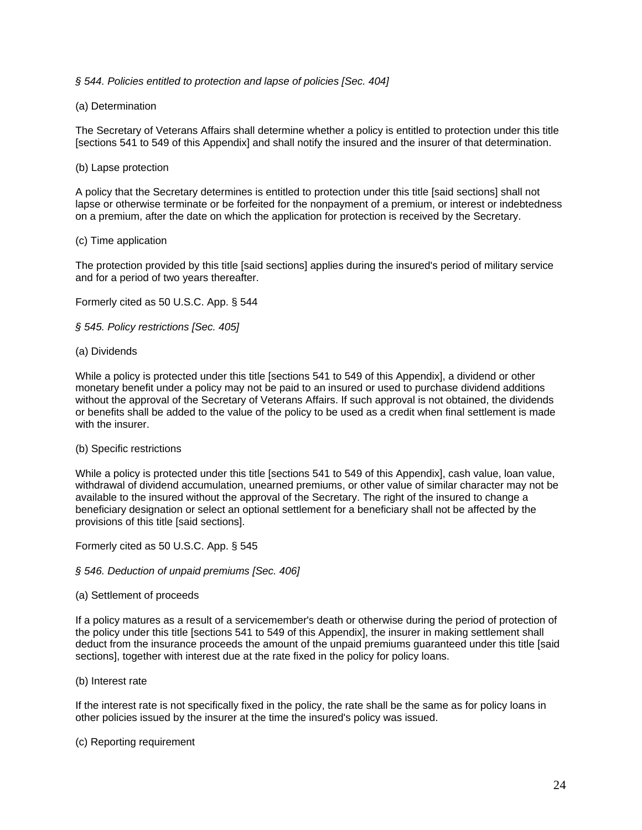# *§ 544. Policies entitled to protection and lapse of policies [Sec. 404]*

# (a) Determination

The Secretary of Veterans Affairs shall determine whether a policy is entitled to protection under this title [sections 541 to 549 of this Appendix] and shall notify the insured and the insurer of that determination.

## (b) Lapse protection

A policy that the Secretary determines is entitled to protection under this title [said sections] shall not lapse or otherwise terminate or be forfeited for the nonpayment of a premium, or interest or indebtedness on a premium, after the date on which the application for protection is received by the Secretary.

### (c) Time application

The protection provided by this title [said sections] applies during the insured's period of military service and for a period of two years thereafter.

Formerly cited as 50 U.S.C. App. § 544

*§ 545. Policy restrictions [Sec. 405]* 

### (a) Dividends

While a policy is protected under this title [sections 541 to 549 of this Appendix], a dividend or other monetary benefit under a policy may not be paid to an insured or used to purchase dividend additions without the approval of the Secretary of Veterans Affairs. If such approval is not obtained, the dividends or benefits shall be added to the value of the policy to be used as a credit when final settlement is made with the insurer

### (b) Specific restrictions

While a policy is protected under this title [sections 541 to 549 of this Appendix], cash value, loan value, withdrawal of dividend accumulation, unearned premiums, or other value of similar character may not be available to the insured without the approval of the Secretary. The right of the insured to change a beneficiary designation or select an optional settlement for a beneficiary shall not be affected by the provisions of this title [said sections].

Formerly cited as 50 U.S.C. App. § 545

### *§ 546. Deduction of unpaid premiums [Sec. 406]*

### (a) Settlement of proceeds

If a policy matures as a result of a servicemember's death or otherwise during the period of protection of the policy under this title [sections 541 to 549 of this Appendix], the insurer in making settlement shall deduct from the insurance proceeds the amount of the unpaid premiums guaranteed under this title [said sections], together with interest due at the rate fixed in the policy for policy loans.

### (b) Interest rate

If the interest rate is not specifically fixed in the policy, the rate shall be the same as for policy loans in other policies issued by the insurer at the time the insured's policy was issued.

### (c) Reporting requirement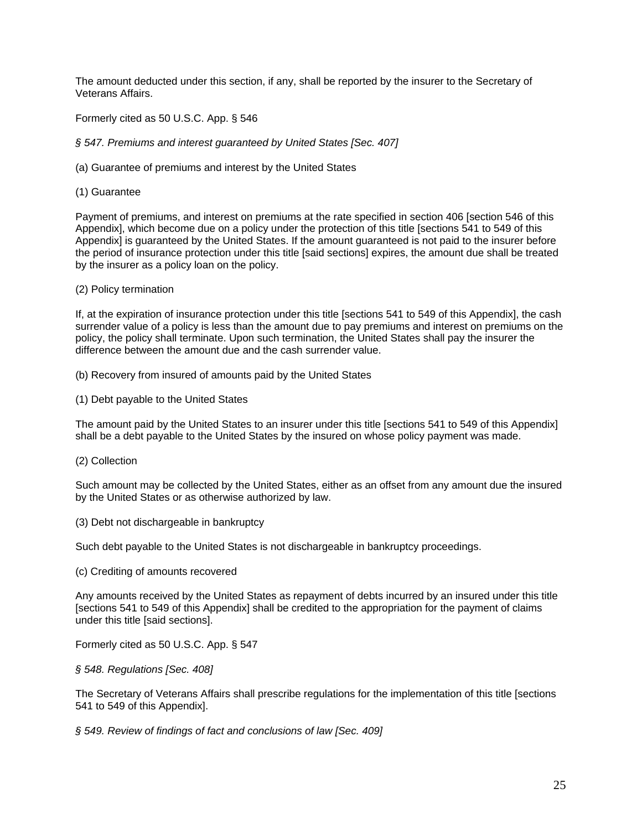The amount deducted under this section, if any, shall be reported by the insurer to the Secretary of Veterans Affairs.

Formerly cited as 50 U.S.C. App. § 546

*§ 547. Premiums and interest guaranteed by United States [Sec. 407]* 

(a) Guarantee of premiums and interest by the United States

(1) Guarantee

Payment of premiums, and interest on premiums at the rate specified in section 406 [section 546 of this Appendix], which become due on a policy under the protection of this title [sections 541 to 549 of this Appendix] is guaranteed by the United States. If the amount guaranteed is not paid to the insurer before the period of insurance protection under this title [said sections] expires, the amount due shall be treated by the insurer as a policy loan on the policy.

### (2) Policy termination

If, at the expiration of insurance protection under this title [sections 541 to 549 of this Appendix], the cash surrender value of a policy is less than the amount due to pay premiums and interest on premiums on the policy, the policy shall terminate. Upon such termination, the United States shall pay the insurer the difference between the amount due and the cash surrender value.

(b) Recovery from insured of amounts paid by the United States

(1) Debt payable to the United States

The amount paid by the United States to an insurer under this title [sections 541 to 549 of this Appendix] shall be a debt payable to the United States by the insured on whose policy payment was made.

### (2) Collection

Such amount may be collected by the United States, either as an offset from any amount due the insured by the United States or as otherwise authorized by law.

(3) Debt not dischargeable in bankruptcy

Such debt payable to the United States is not dischargeable in bankruptcy proceedings.

### (c) Crediting of amounts recovered

Any amounts received by the United States as repayment of debts incurred by an insured under this title [sections 541 to 549 of this Appendix] shall be credited to the appropriation for the payment of claims under this title [said sections].

Formerly cited as 50 U.S.C. App. § 547

# *§ 548. Regulations [Sec. 408]*

The Secretary of Veterans Affairs shall prescribe regulations for the implementation of this title [sections 541 to 549 of this Appendix].

*§ 549. Review of findings of fact and conclusions of law [Sec. 409]*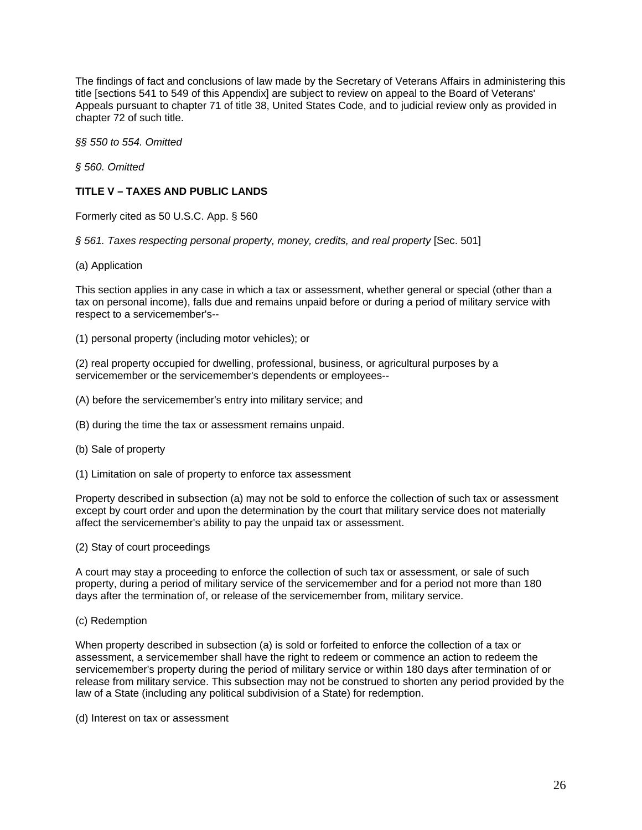The findings of fact and conclusions of law made by the Secretary of Veterans Affairs in administering this title [sections 541 to 549 of this Appendix] are subject to review on appeal to the Board of Veterans' Appeals pursuant to chapter 71 of title 38, United States Code, and to judicial review only as provided in chapter 72 of such title.

*§§ 550 to 554. Omitted* 

*§ 560. Omitted* 

# **TITLE V – TAXES AND PUBLIC LANDS**

Formerly cited as 50 U.S.C. App. § 560

*§ 561. Taxes respecting personal property, money, credits, and real property* [Sec. 501]

(a) Application

This section applies in any case in which a tax or assessment, whether general or special (other than a tax on personal income), falls due and remains unpaid before or during a period of military service with respect to a servicemember's--

(1) personal property (including motor vehicles); or

(2) real property occupied for dwelling, professional, business, or agricultural purposes by a servicemember or the servicemember's dependents or employees--

(A) before the servicemember's entry into military service; and

(B) during the time the tax or assessment remains unpaid.

- (b) Sale of property
- (1) Limitation on sale of property to enforce tax assessment

Property described in subsection (a) may not be sold to enforce the collection of such tax or assessment except by court order and upon the determination by the court that military service does not materially affect the servicemember's ability to pay the unpaid tax or assessment.

(2) Stay of court proceedings

A court may stay a proceeding to enforce the collection of such tax or assessment, or sale of such property, during a period of military service of the servicemember and for a period not more than 180 days after the termination of, or release of the servicemember from, military service.

(c) Redemption

When property described in subsection (a) is sold or forfeited to enforce the collection of a tax or assessment, a servicemember shall have the right to redeem or commence an action to redeem the servicemember's property during the period of military service or within 180 days after termination of or release from military service. This subsection may not be construed to shorten any period provided by the law of a State (including any political subdivision of a State) for redemption.

(d) Interest on tax or assessment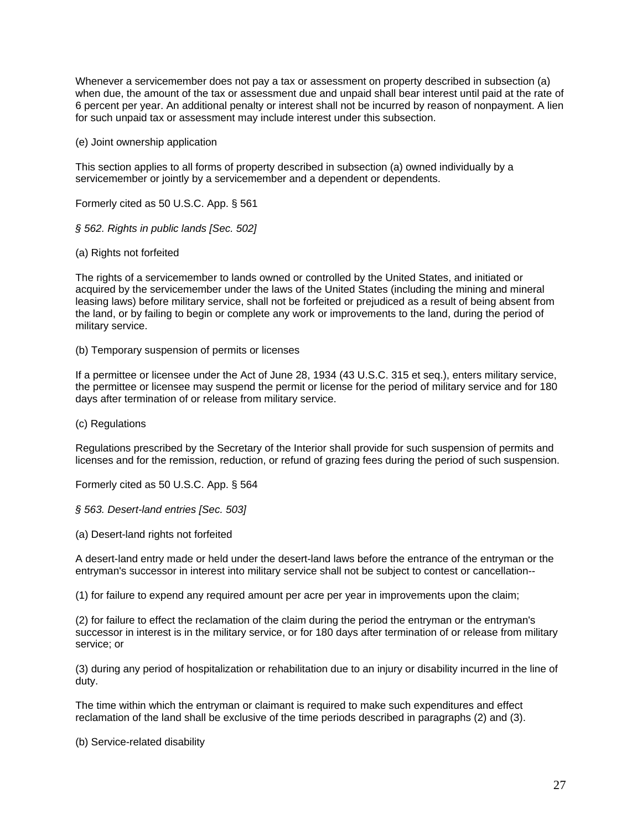Whenever a servicemember does not pay a tax or assessment on property described in subsection (a) when due, the amount of the tax or assessment due and unpaid shall bear interest until paid at the rate of 6 percent per year. An additional penalty or interest shall not be incurred by reason of nonpayment. A lien for such unpaid tax or assessment may include interest under this subsection.

(e) Joint ownership application

This section applies to all forms of property described in subsection (a) owned individually by a servicemember or jointly by a servicemember and a dependent or dependents.

Formerly cited as 50 U.S.C. App. § 561

*§ 562. Rights in public lands [Sec. 502]* 

(a) Rights not forfeited

The rights of a servicemember to lands owned or controlled by the United States, and initiated or acquired by the servicemember under the laws of the United States (including the mining and mineral leasing laws) before military service, shall not be forfeited or prejudiced as a result of being absent from the land, or by failing to begin or complete any work or improvements to the land, during the period of military service.

(b) Temporary suspension of permits or licenses

If a permittee or licensee under the Act of June 28, 1934 (43 U.S.C. 315 et seq.), enters military service, the permittee or licensee may suspend the permit or license for the period of military service and for 180 days after termination of or release from military service.

(c) Regulations

Regulations prescribed by the Secretary of the Interior shall provide for such suspension of permits and licenses and for the remission, reduction, or refund of grazing fees during the period of such suspension.

Formerly cited as 50 U.S.C. App. § 564

*§ 563. Desert-land entries [Sec. 503]* 

(a) Desert-land rights not forfeited

A desert-land entry made or held under the desert-land laws before the entrance of the entryman or the entryman's successor in interest into military service shall not be subject to contest or cancellation--

(1) for failure to expend any required amount per acre per year in improvements upon the claim;

(2) for failure to effect the reclamation of the claim during the period the entryman or the entryman's successor in interest is in the military service, or for 180 days after termination of or release from military service; or

(3) during any period of hospitalization or rehabilitation due to an injury or disability incurred in the line of duty.

The time within which the entryman or claimant is required to make such expenditures and effect reclamation of the land shall be exclusive of the time periods described in paragraphs (2) and (3).

(b) Service-related disability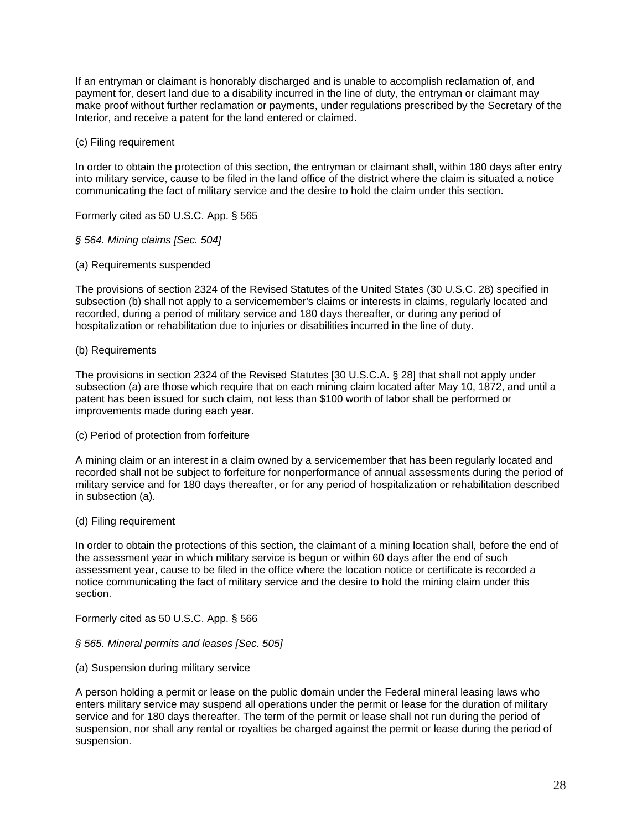If an entryman or claimant is honorably discharged and is unable to accomplish reclamation of, and payment for, desert land due to a disability incurred in the line of duty, the entryman or claimant may make proof without further reclamation or payments, under regulations prescribed by the Secretary of the Interior, and receive a patent for the land entered or claimed.

### (c) Filing requirement

In order to obtain the protection of this section, the entryman or claimant shall, within 180 days after entry into military service, cause to be filed in the land office of the district where the claim is situated a notice communicating the fact of military service and the desire to hold the claim under this section.

Formerly cited as 50 U.S.C. App. § 565

### *§ 564. Mining claims [Sec. 504]*

(a) Requirements suspended

The provisions of section 2324 of the Revised Statutes of the United States (30 U.S.C. 28) specified in subsection (b) shall not apply to a servicemember's claims or interests in claims, regularly located and recorded, during a period of military service and 180 days thereafter, or during any period of hospitalization or rehabilitation due to injuries or disabilities incurred in the line of duty.

### (b) Requirements

The provisions in section 2324 of the Revised Statutes [30 U.S.C.A. § 28] that shall not apply under subsection (a) are those which require that on each mining claim located after May 10, 1872, and until a patent has been issued for such claim, not less than \$100 worth of labor shall be performed or improvements made during each year.

### (c) Period of protection from forfeiture

A mining claim or an interest in a claim owned by a servicemember that has been regularly located and recorded shall not be subject to forfeiture for nonperformance of annual assessments during the period of military service and for 180 days thereafter, or for any period of hospitalization or rehabilitation described in subsection (a).

### (d) Filing requirement

In order to obtain the protections of this section, the claimant of a mining location shall, before the end of the assessment year in which military service is begun or within 60 days after the end of such assessment year, cause to be filed in the office where the location notice or certificate is recorded a notice communicating the fact of military service and the desire to hold the mining claim under this section.

Formerly cited as 50 U.S.C. App. § 566

# *§ 565. Mineral permits and leases [Sec. 505]*

### (a) Suspension during military service

A person holding a permit or lease on the public domain under the Federal mineral leasing laws who enters military service may suspend all operations under the permit or lease for the duration of military service and for 180 days thereafter. The term of the permit or lease shall not run during the period of suspension, nor shall any rental or royalties be charged against the permit or lease during the period of suspension.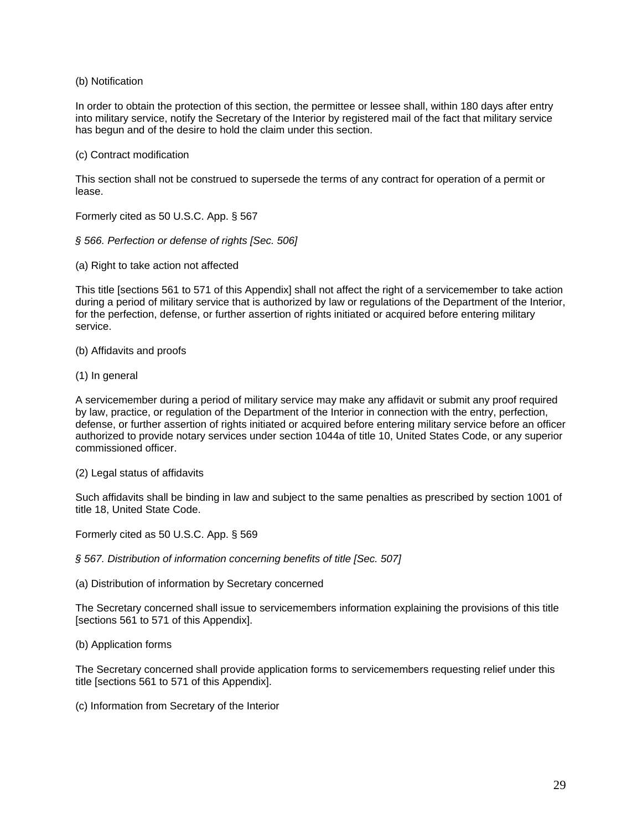(b) Notification

In order to obtain the protection of this section, the permittee or lessee shall, within 180 days after entry into military service, notify the Secretary of the Interior by registered mail of the fact that military service has begun and of the desire to hold the claim under this section.

### (c) Contract modification

This section shall not be construed to supersede the terms of any contract for operation of a permit or lease.

Formerly cited as 50 U.S.C. App. § 567

*§ 566. Perfection or defense of rights [Sec. 506]* 

(a) Right to take action not affected

This title [sections 561 to 571 of this Appendix] shall not affect the right of a servicemember to take action during a period of military service that is authorized by law or regulations of the Department of the Interior, for the perfection, defense, or further assertion of rights initiated or acquired before entering military service.

(b) Affidavits and proofs

(1) In general

A servicemember during a period of military service may make any affidavit or submit any proof required by law, practice, or regulation of the Department of the Interior in connection with the entry, perfection, defense, or further assertion of rights initiated or acquired before entering military service before an officer authorized to provide notary services under section 1044a of title 10, United States Code, or any superior commissioned officer.

(2) Legal status of affidavits

Such affidavits shall be binding in law and subject to the same penalties as prescribed by section 1001 of title 18, United State Code.

Formerly cited as 50 U.S.C. App. § 569

*§ 567. Distribution of information concerning benefits of title [Sec. 507]* 

(a) Distribution of information by Secretary concerned

The Secretary concerned shall issue to servicemembers information explaining the provisions of this title [sections 561 to 571 of this Appendix].

(b) Application forms

The Secretary concerned shall provide application forms to servicemembers requesting relief under this title [sections 561 to 571 of this Appendix].

(c) Information from Secretary of the Interior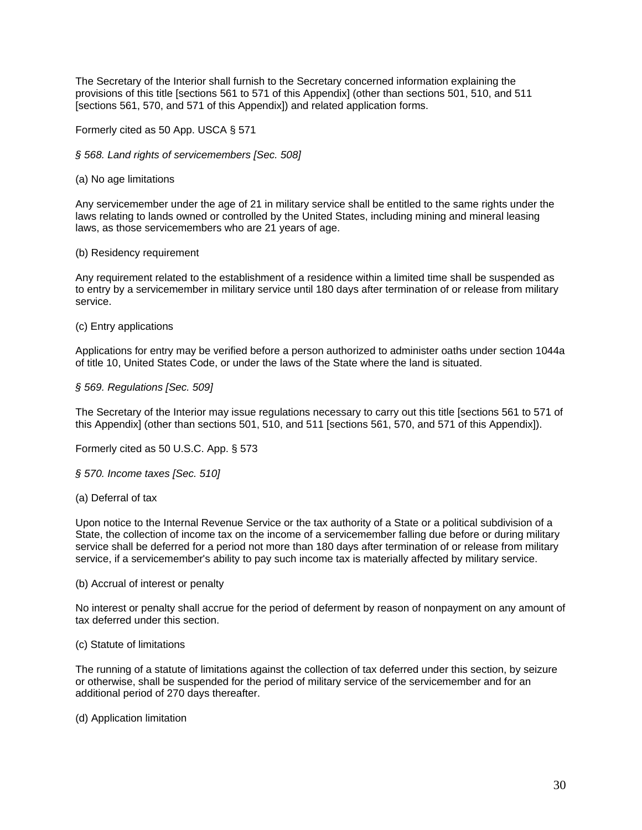The Secretary of the Interior shall furnish to the Secretary concerned information explaining the provisions of this title [sections 561 to 571 of this Appendix] (other than sections 501, 510, and 511 [sections 561, 570, and 571 of this Appendix]) and related application forms.

Formerly cited as 50 App. USCA § 571

*§ 568. Land rights of servicemembers [Sec. 508]* 

(a) No age limitations

Any servicemember under the age of 21 in military service shall be entitled to the same rights under the laws relating to lands owned or controlled by the United States, including mining and mineral leasing laws, as those servicemembers who are 21 years of age.

### (b) Residency requirement

Any requirement related to the establishment of a residence within a limited time shall be suspended as to entry by a servicemember in military service until 180 days after termination of or release from military service.

### (c) Entry applications

Applications for entry may be verified before a person authorized to administer oaths under section 1044a of title 10, United States Code, or under the laws of the State where the land is situated.

### *§ 569. Regulations [Sec. 509]*

The Secretary of the Interior may issue regulations necessary to carry out this title [sections 561 to 571 of this Appendix] (other than sections 501, 510, and 511 [sections 561, 570, and 571 of this Appendix]).

Formerly cited as 50 U.S.C. App. § 573

### *§ 570. Income taxes [Sec. 510]*

### (a) Deferral of tax

Upon notice to the Internal Revenue Service or the tax authority of a State or a political subdivision of a State, the collection of income tax on the income of a servicemember falling due before or during military service shall be deferred for a period not more than 180 days after termination of or release from military service, if a servicemember's ability to pay such income tax is materially affected by military service.

### (b) Accrual of interest or penalty

No interest or penalty shall accrue for the period of deferment by reason of nonpayment on any amount of tax deferred under this section.

### (c) Statute of limitations

The running of a statute of limitations against the collection of tax deferred under this section, by seizure or otherwise, shall be suspended for the period of military service of the servicemember and for an additional period of 270 days thereafter.

(d) Application limitation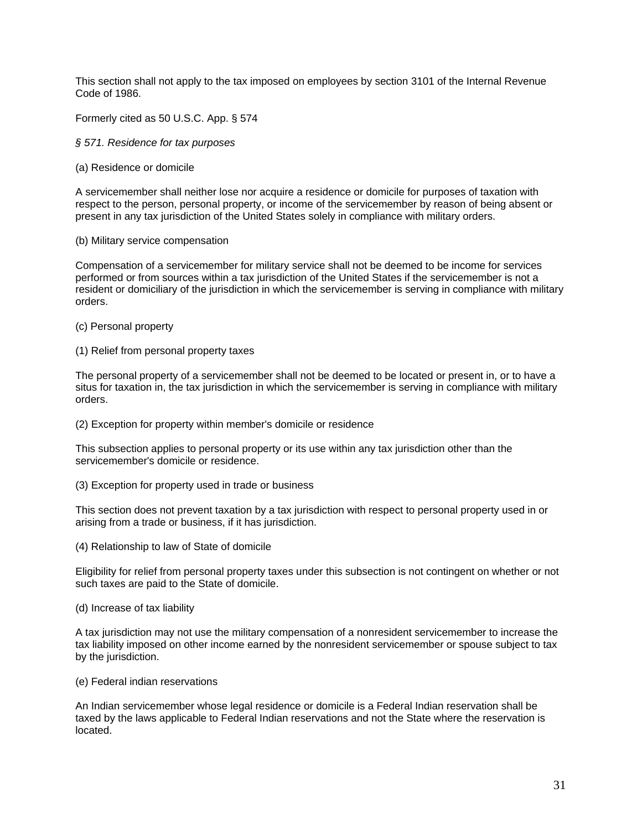This section shall not apply to the tax imposed on employees by section 3101 of the Internal Revenue Code of 1986.

Formerly cited as 50 U.S.C. App. § 574

*§ 571. Residence for tax purposes* 

(a) Residence or domicile

A servicemember shall neither lose nor acquire a residence or domicile for purposes of taxation with respect to the person, personal property, or income of the servicemember by reason of being absent or present in any tax jurisdiction of the United States solely in compliance with military orders.

#### (b) Military service compensation

Compensation of a servicemember for military service shall not be deemed to be income for services performed or from sources within a tax jurisdiction of the United States if the servicemember is not a resident or domiciliary of the jurisdiction in which the servicemember is serving in compliance with military orders.

- (c) Personal property
- (1) Relief from personal property taxes

The personal property of a servicemember shall not be deemed to be located or present in, or to have a situs for taxation in, the tax jurisdiction in which the servicemember is serving in compliance with military orders.

(2) Exception for property within member's domicile or residence

This subsection applies to personal property or its use within any tax jurisdiction other than the servicemember's domicile or residence.

(3) Exception for property used in trade or business

This section does not prevent taxation by a tax jurisdiction with respect to personal property used in or arising from a trade or business, if it has jurisdiction.

(4) Relationship to law of State of domicile

Eligibility for relief from personal property taxes under this subsection is not contingent on whether or not such taxes are paid to the State of domicile.

(d) Increase of tax liability

A tax jurisdiction may not use the military compensation of a nonresident servicemember to increase the tax liability imposed on other income earned by the nonresident servicemember or spouse subject to tax by the jurisdiction.

(e) Federal indian reservations

An Indian servicemember whose legal residence or domicile is a Federal Indian reservation shall be taxed by the laws applicable to Federal Indian reservations and not the State where the reservation is located.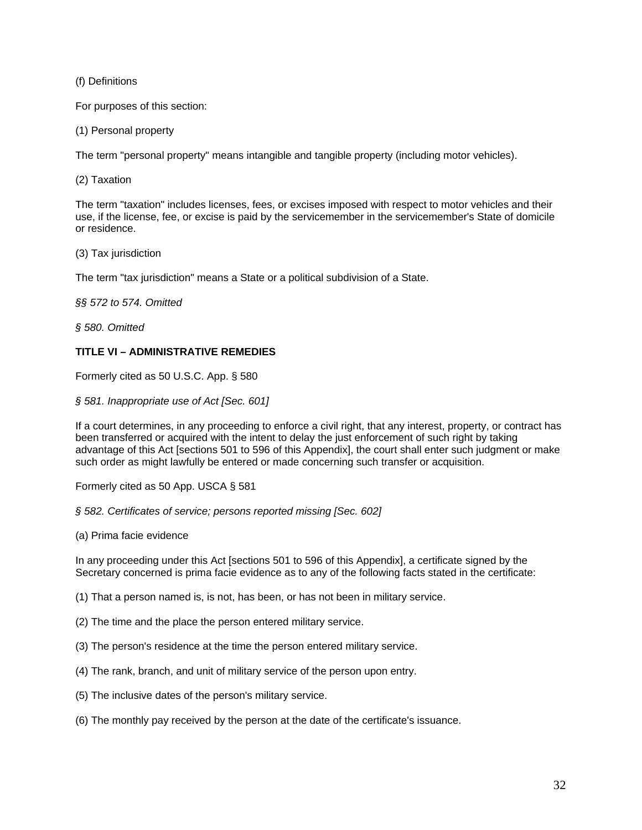(f) Definitions

For purposes of this section:

(1) Personal property

The term "personal property" means intangible and tangible property (including motor vehicles).

(2) Taxation

The term "taxation" includes licenses, fees, or excises imposed with respect to motor vehicles and their use, if the license, fee, or excise is paid by the servicemember in the servicemember's State of domicile or residence.

(3) Tax jurisdiction

The term "tax jurisdiction" means a State or a political subdivision of a State.

*§§ 572 to 574. Omitted* 

*§ 580. Omitted* 

# **TITLE VI – ADMINISTRATIVE REMEDIES**

Formerly cited as 50 U.S.C. App. § 580

*§ 581. Inappropriate use of Act [Sec. 601]* 

If a court determines, in any proceeding to enforce a civil right, that any interest, property, or contract has been transferred or acquired with the intent to delay the just enforcement of such right by taking advantage of this Act [sections 501 to 596 of this Appendix], the court shall enter such judgment or make such order as might lawfully be entered or made concerning such transfer or acquisition.

Formerly cited as 50 App. USCA § 581

*§ 582. Certificates of service; persons reported missing [Sec. 602]* 

(a) Prima facie evidence

In any proceeding under this Act [sections 501 to 596 of this Appendix], a certificate signed by the Secretary concerned is prima facie evidence as to any of the following facts stated in the certificate:

(1) That a person named is, is not, has been, or has not been in military service.

- (2) The time and the place the person entered military service.
- (3) The person's residence at the time the person entered military service.
- (4) The rank, branch, and unit of military service of the person upon entry.
- (5) The inclusive dates of the person's military service.
- (6) The monthly pay received by the person at the date of the certificate's issuance.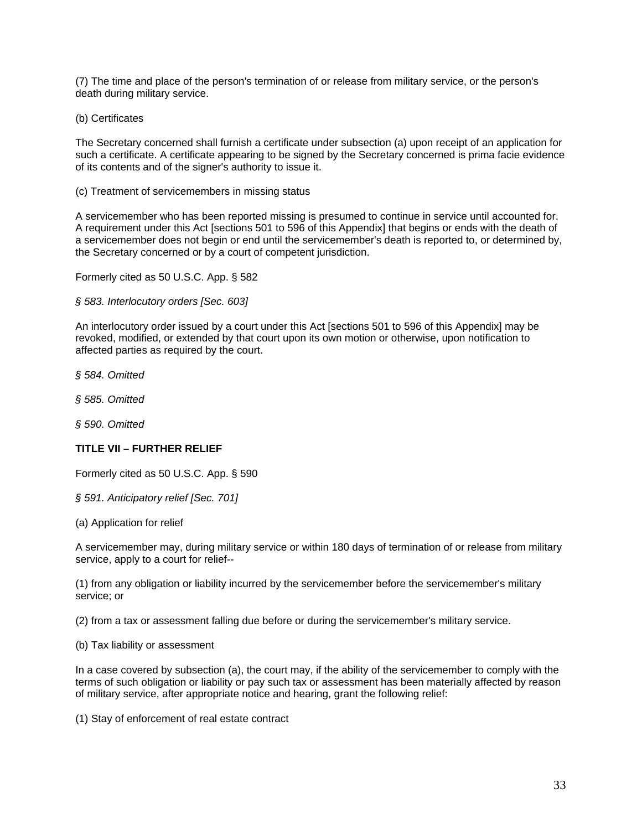(7) The time and place of the person's termination of or release from military service, or the person's death during military service.

(b) Certificates

The Secretary concerned shall furnish a certificate under subsection (a) upon receipt of an application for such a certificate. A certificate appearing to be signed by the Secretary concerned is prima facie evidence of its contents and of the signer's authority to issue it.

(c) Treatment of servicemembers in missing status

A servicemember who has been reported missing is presumed to continue in service until accounted for. A requirement under this Act [sections 501 to 596 of this Appendix] that begins or ends with the death of a servicemember does not begin or end until the servicemember's death is reported to, or determined by, the Secretary concerned or by a court of competent jurisdiction.

Formerly cited as 50 U.S.C. App. § 582

*§ 583. Interlocutory orders [Sec. 603]* 

An interlocutory order issued by a court under this Act [sections 501 to 596 of this Appendix] may be revoked, modified, or extended by that court upon its own motion or otherwise, upon notification to affected parties as required by the court.

*§ 584. Omitted* 

*§ 585. Omitted* 

*§ 590. Omitted* 

### **TITLE VII – FURTHER RELIEF**

Formerly cited as 50 U.S.C. App. § 590

*§ 591. Anticipatory relief [Sec. 701]* 

(a) Application for relief

A servicemember may, during military service or within 180 days of termination of or release from military service, apply to a court for relief--

(1) from any obligation or liability incurred by the servicemember before the servicemember's military service; or

(2) from a tax or assessment falling due before or during the servicemember's military service.

(b) Tax liability or assessment

In a case covered by subsection (a), the court may, if the ability of the servicemember to comply with the terms of such obligation or liability or pay such tax or assessment has been materially affected by reason of military service, after appropriate notice and hearing, grant the following relief:

(1) Stay of enforcement of real estate contract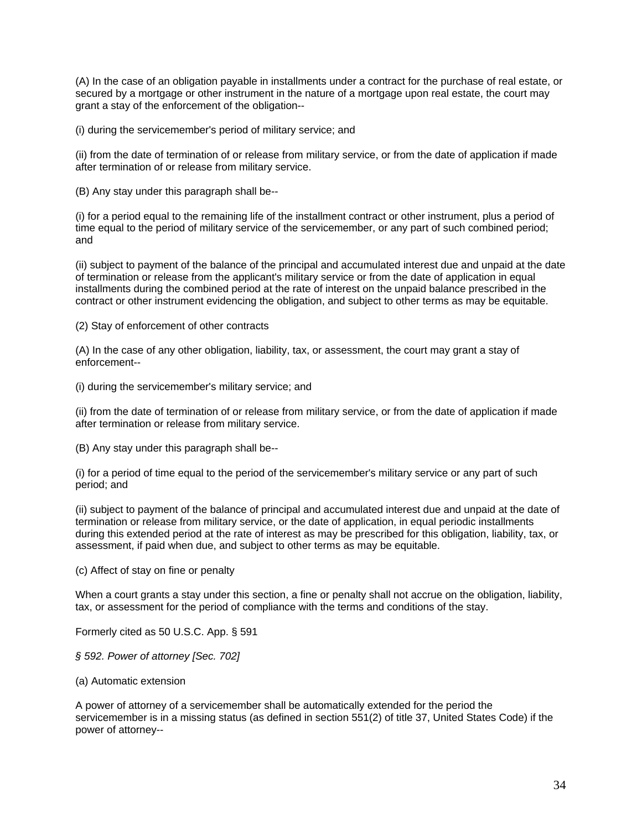(A) In the case of an obligation payable in installments under a contract for the purchase of real estate, or secured by a mortgage or other instrument in the nature of a mortgage upon real estate, the court may grant a stay of the enforcement of the obligation--

(i) during the servicemember's period of military service; and

(ii) from the date of termination of or release from military service, or from the date of application if made after termination of or release from military service.

(B) Any stay under this paragraph shall be--

(i) for a period equal to the remaining life of the installment contract or other instrument, plus a period of time equal to the period of military service of the servicemember, or any part of such combined period; and

(ii) subject to payment of the balance of the principal and accumulated interest due and unpaid at the date of termination or release from the applicant's military service or from the date of application in equal installments during the combined period at the rate of interest on the unpaid balance prescribed in the contract or other instrument evidencing the obligation, and subject to other terms as may be equitable.

(2) Stay of enforcement of other contracts

(A) In the case of any other obligation, liability, tax, or assessment, the court may grant a stay of enforcement--

(i) during the servicemember's military service; and

(ii) from the date of termination of or release from military service, or from the date of application if made after termination or release from military service.

(B) Any stay under this paragraph shall be--

(i) for a period of time equal to the period of the servicemember's military service or any part of such period; and

(ii) subject to payment of the balance of principal and accumulated interest due and unpaid at the date of termination or release from military service, or the date of application, in equal periodic installments during this extended period at the rate of interest as may be prescribed for this obligation, liability, tax, or assessment, if paid when due, and subject to other terms as may be equitable.

(c) Affect of stay on fine or penalty

When a court grants a stay under this section, a fine or penalty shall not accrue on the obligation, liability, tax, or assessment for the period of compliance with the terms and conditions of the stay.

Formerly cited as 50 U.S.C. App. § 591

*§ 592. Power of attorney [Sec. 702]* 

(a) Automatic extension

A power of attorney of a servicemember shall be automatically extended for the period the servicemember is in a missing status (as defined in section 551(2) of title 37, United States Code) if the power of attorney--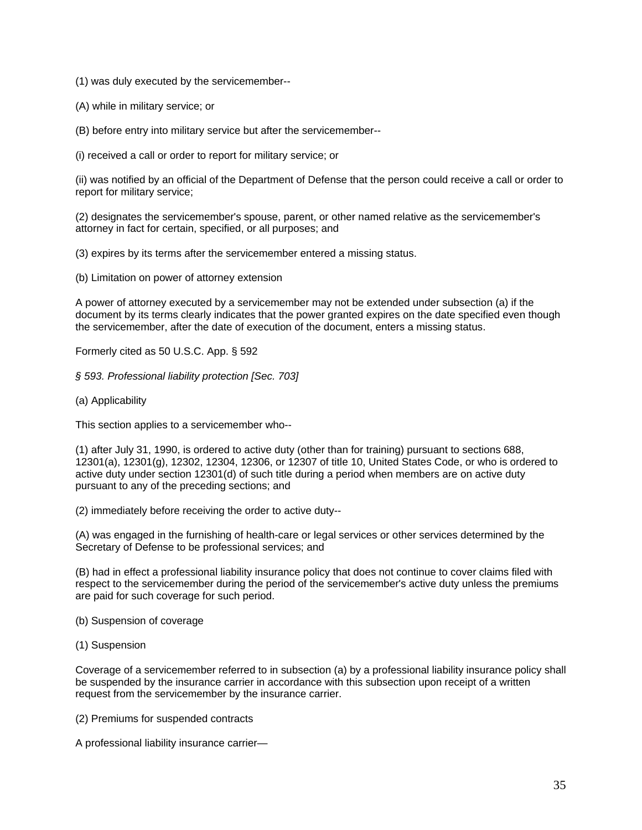(1) was duly executed by the servicemember--

(A) while in military service; or

(B) before entry into military service but after the servicemember--

(i) received a call or order to report for military service; or

(ii) was notified by an official of the Department of Defense that the person could receive a call or order to report for military service;

(2) designates the servicemember's spouse, parent, or other named relative as the servicemember's attorney in fact for certain, specified, or all purposes; and

(3) expires by its terms after the servicemember entered a missing status.

(b) Limitation on power of attorney extension

A power of attorney executed by a servicemember may not be extended under subsection (a) if the document by its terms clearly indicates that the power granted expires on the date specified even though the servicemember, after the date of execution of the document, enters a missing status.

Formerly cited as 50 U.S.C. App. § 592

*§ 593. Professional liability protection [Sec. 703]* 

(a) Applicability

This section applies to a servicemember who--

(1) after July 31, 1990, is ordered to active duty (other than for training) pursuant to sections 688, 12301(a), 12301(g), 12302, 12304, 12306, or 12307 of title 10, United States Code, or who is ordered to active duty under section 12301(d) of such title during a period when members are on active duty pursuant to any of the preceding sections; and

(2) immediately before receiving the order to active duty--

(A) was engaged in the furnishing of health-care or legal services or other services determined by the Secretary of Defense to be professional services; and

(B) had in effect a professional liability insurance policy that does not continue to cover claims filed with respect to the servicemember during the period of the servicemember's active duty unless the premiums are paid for such coverage for such period.

(b) Suspension of coverage

(1) Suspension

Coverage of a servicemember referred to in subsection (a) by a professional liability insurance policy shall be suspended by the insurance carrier in accordance with this subsection upon receipt of a written request from the servicemember by the insurance carrier.

(2) Premiums for suspended contracts

A professional liability insurance carrier—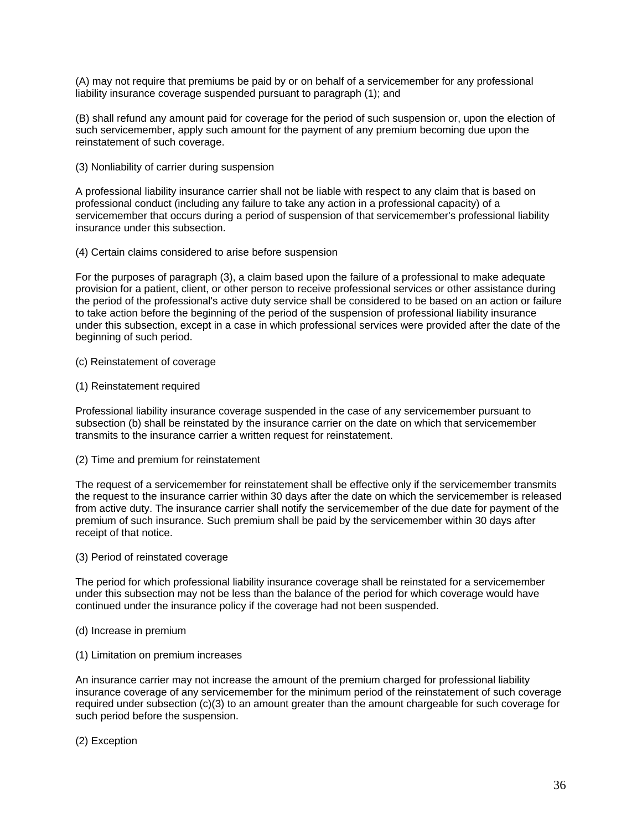(A) may not require that premiums be paid by or on behalf of a servicemember for any professional liability insurance coverage suspended pursuant to paragraph (1); and

(B) shall refund any amount paid for coverage for the period of such suspension or, upon the election of such servicemember, apply such amount for the payment of any premium becoming due upon the reinstatement of such coverage.

(3) Nonliability of carrier during suspension

A professional liability insurance carrier shall not be liable with respect to any claim that is based on professional conduct (including any failure to take any action in a professional capacity) of a servicemember that occurs during a period of suspension of that servicemember's professional liability insurance under this subsection.

### (4) Certain claims considered to arise before suspension

For the purposes of paragraph (3), a claim based upon the failure of a professional to make adequate provision for a patient, client, or other person to receive professional services or other assistance during the period of the professional's active duty service shall be considered to be based on an action or failure to take action before the beginning of the period of the suspension of professional liability insurance under this subsection, except in a case in which professional services were provided after the date of the beginning of such period.

- (c) Reinstatement of coverage
- (1) Reinstatement required

Professional liability insurance coverage suspended in the case of any servicemember pursuant to subsection (b) shall be reinstated by the insurance carrier on the date on which that servicemember transmits to the insurance carrier a written request for reinstatement.

(2) Time and premium for reinstatement

The request of a servicemember for reinstatement shall be effective only if the servicemember transmits the request to the insurance carrier within 30 days after the date on which the servicemember is released from active duty. The insurance carrier shall notify the servicemember of the due date for payment of the premium of such insurance. Such premium shall be paid by the servicemember within 30 days after receipt of that notice.

(3) Period of reinstated coverage

The period for which professional liability insurance coverage shall be reinstated for a servicemember under this subsection may not be less than the balance of the period for which coverage would have continued under the insurance policy if the coverage had not been suspended.

- (d) Increase in premium
- (1) Limitation on premium increases

An insurance carrier may not increase the amount of the premium charged for professional liability insurance coverage of any servicemember for the minimum period of the reinstatement of such coverage required under subsection (c)(3) to an amount greater than the amount chargeable for such coverage for such period before the suspension.

(2) Exception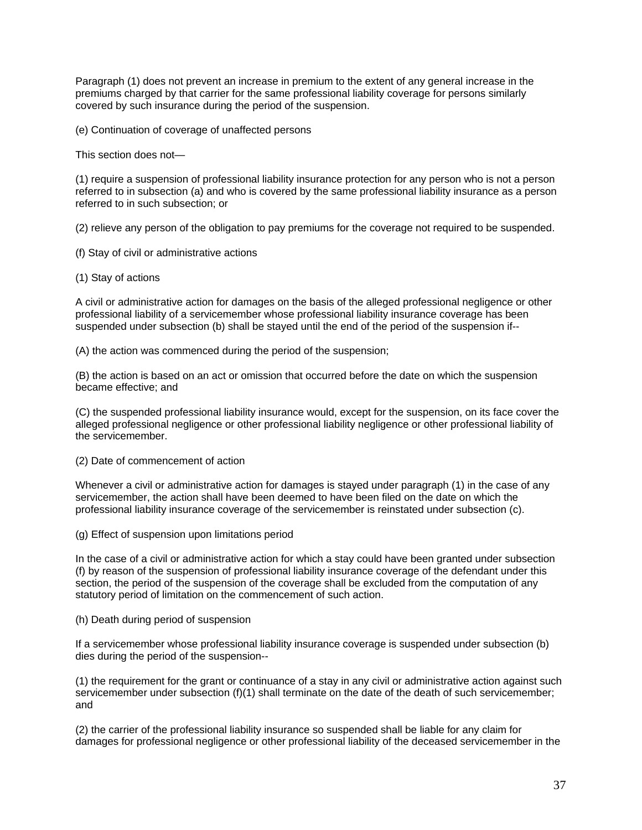Paragraph (1) does not prevent an increase in premium to the extent of any general increase in the premiums charged by that carrier for the same professional liability coverage for persons similarly covered by such insurance during the period of the suspension.

(e) Continuation of coverage of unaffected persons

This section does not—

(1) require a suspension of professional liability insurance protection for any person who is not a person referred to in subsection (a) and who is covered by the same professional liability insurance as a person referred to in such subsection; or

(2) relieve any person of the obligation to pay premiums for the coverage not required to be suspended.

- (f) Stay of civil or administrative actions
- (1) Stay of actions

A civil or administrative action for damages on the basis of the alleged professional negligence or other professional liability of a servicemember whose professional liability insurance coverage has been suspended under subsection (b) shall be stayed until the end of the period of the suspension if--

(A) the action was commenced during the period of the suspension;

(B) the action is based on an act or omission that occurred before the date on which the suspension became effective; and

(C) the suspended professional liability insurance would, except for the suspension, on its face cover the alleged professional negligence or other professional liability negligence or other professional liability of the servicemember.

(2) Date of commencement of action

Whenever a civil or administrative action for damages is stayed under paragraph (1) in the case of any servicemember, the action shall have been deemed to have been filed on the date on which the professional liability insurance coverage of the servicemember is reinstated under subsection (c).

(g) Effect of suspension upon limitations period

In the case of a civil or administrative action for which a stay could have been granted under subsection (f) by reason of the suspension of professional liability insurance coverage of the defendant under this section, the period of the suspension of the coverage shall be excluded from the computation of any statutory period of limitation on the commencement of such action.

(h) Death during period of suspension

If a servicemember whose professional liability insurance coverage is suspended under subsection (b) dies during the period of the suspension--

(1) the requirement for the grant or continuance of a stay in any civil or administrative action against such servicemember under subsection (f)(1) shall terminate on the date of the death of such servicemember; and

(2) the carrier of the professional liability insurance so suspended shall be liable for any claim for damages for professional negligence or other professional liability of the deceased servicemember in the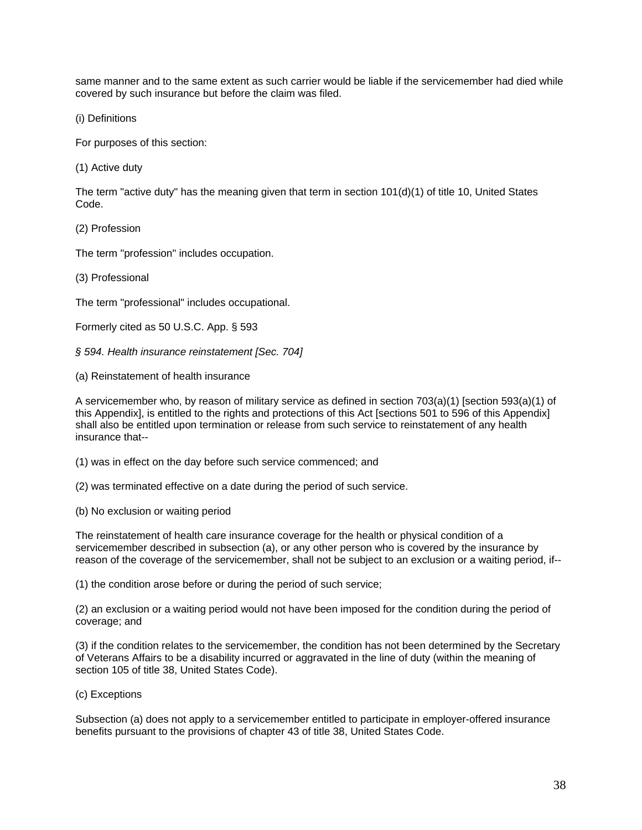same manner and to the same extent as such carrier would be liable if the servicemember had died while covered by such insurance but before the claim was filed.

(i) Definitions

For purposes of this section:

(1) Active duty

The term "active duty" has the meaning given that term in section 101(d)(1) of title 10, United States Code.

(2) Profession

The term "profession" includes occupation.

(3) Professional

The term "professional" includes occupational.

Formerly cited as 50 U.S.C. App. § 593

*§ 594. Health insurance reinstatement [Sec. 704]* 

(a) Reinstatement of health insurance

A servicemember who, by reason of military service as defined in section  $703(a)(1)$  [section 593(a)(1) of this Appendix], is entitled to the rights and protections of this Act [sections 501 to 596 of this Appendix] shall also be entitled upon termination or release from such service to reinstatement of any health insurance that--

(1) was in effect on the day before such service commenced; and

(2) was terminated effective on a date during the period of such service.

(b) No exclusion or waiting period

The reinstatement of health care insurance coverage for the health or physical condition of a servicemember described in subsection (a), or any other person who is covered by the insurance by reason of the coverage of the servicemember, shall not be subject to an exclusion or a waiting period, if--

(1) the condition arose before or during the period of such service;

(2) an exclusion or a waiting period would not have been imposed for the condition during the period of coverage; and

(3) if the condition relates to the servicemember, the condition has not been determined by the Secretary of Veterans Affairs to be a disability incurred or aggravated in the line of duty (within the meaning of section 105 of title 38, United States Code).

### (c) Exceptions

Subsection (a) does not apply to a servicemember entitled to participate in employer-offered insurance benefits pursuant to the provisions of chapter 43 of title 38, United States Code.